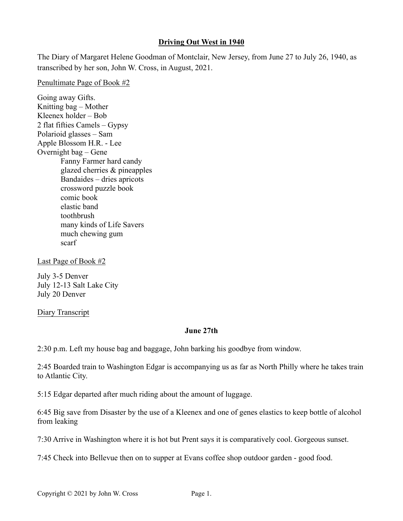## **Driving Out West in 1940**

The Diary of Margaret Helene Goodman of Montclair, New Jersey, from June 27 to July 26, 1940, as transcribed by her son, John W. Cross, in August, 2021.

Penultimate Page of Book #2

Going away Gifts. Knitting bag – Mother Kleenex holder – Bob 2 flat fifties Camels – Gypsy Polarioid glasses – Sam Apple Blossom H.R. - Lee Overnight bag – Gene Fanny Farmer hard candy glazed cherries & pineapples Bandaides – dries apricots crossword puzzle book comic book elastic band toothbrush many kinds of Life Savers much chewing gum scarf

Last Page of Book #2

July 3-5 Denver July 12-13 Salt Lake City July 20 Denver

Diary Transcript

### **June 27th**

2:30 p.m. Left my house bag and baggage, John barking his goodbye from window.

2:45 Boarded train to Washington Edgar is accompanying us as far as North Philly where he takes train to Atlantic City.

5:15 Edgar departed after much riding about the amount of luggage.

6:45 Big save from Disaster by the use of a Kleenex and one of genes elastics to keep bottle of alcohol from leaking

7:30 Arrive in Washington where it is hot but Prent says it is comparatively cool. Gorgeous sunset.

7:45 Check into Bellevue then on to supper at Evans coffee shop outdoor garden - good food.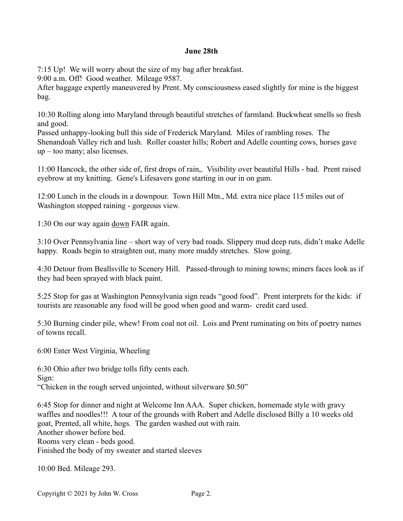### **June 28th**

7:15 Up! We will worry about the size of my bag after breakfast.

9:00 a.m. Off! Good weather. Mileage 9587.

After baggage expertly maneuvered by Prent. My consciousness eased slightly for mine is the biggest bag.

10:30 Rolling along into Maryland through beautiful stretches of farmland. Buckwheat smells so fresh and good.

Passed unhappy-looking bull this side of Frederick Maryland. Miles of rambling roses. The Shenandoah Valley rich and lush. Roller coaster hills; Robert and Adelle counting cows, horses gave up – too many; also licenses.

11:00 Hancock, the other side of, first drops of rain,. Visibility over beautiful Hills - bad. Prent raised eyebrow at my knitting. Gene's Lifesavers gone starting in our in on gum.

12:00 Lunch in the clouds in a downpour. Town Hill Mtn., Md. extra nice place 115 miles out of Washington stopped raining - gorgeous view.

1:30 On our way again down FAIR again.

3:10 Over Pennsylvania line – short way of very bad roads. Slippery mud deep ruts, didn't make Adelle happy. Roads begin to straighten out, many more muddy stretches. Slow going.

4:30 Detour from Beallsville to Scenery Hill. Passed-through to mining towns; miners faces look as if they had been sprayed with black paint.

5:25 Stop for gas at Washington Pennsylvania sign reads "good food". Prent interprets for the kids: if tourists are reasonable any food will be good when good and warm- credit card used.

5:30 Burning cinder pile, whew! From coal not oil. Lois and Prent ruminating on bits of poetry names of towns recall.

6:00 Enter West Virginia, Wheeling

6:30 Ohio after two bridge tolls fifty cents each. Sign: "Chicken in the rough served unjointed, without silverware \$0.50"

6:45 Stop for dinner and night at Welcome Inn AAA. Super chicken, homemade style with gravy waffles and noodles!!! A tour of the grounds with Robert and Adelle disclosed Billy a 10 weeks old goat, Prented, all white, hogs. The garden washed out with rain. Another shower before bed. Rooms very clean - beds good. Finished the body of my sweater and started sleeves

10:00 Bed. Mileage 293.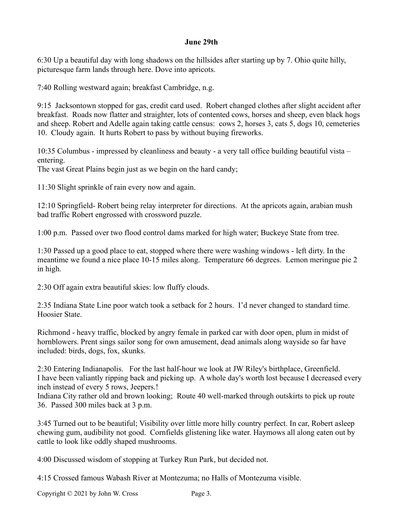### **June 29th**

6:30 Up a beautiful day with long shadows on the hillsides after starting up by 7. Ohio quite hilly, picturesque farm lands through here. Dove into apricots.

7:40 Rolling westward again; breakfast Cambridge, n.g.

9:15 Jacksontown stopped for gas, credit card used. Robert changed clothes after slight accident after breakfast. Roads now flatter and straighter, lots of contented cows, horses and sheep, even black hogs and sheep. Robert and Adelle again taking cattle census: cows 2, horses 3, cats 5, dogs 10, cemeteries 10. Cloudy again. It hurts Robert to pass by without buying fireworks.

10:35 Columbus - impressed by cleanliness and beauty - a very tall office building beautiful vista – entering.

The vast Great Plains begin just as we begin on the hard candy;

11:30 Slight sprinkle of rain every now and again.

12:10 Springfield- Robert being relay interpreter for directions. At the apricots again, arabian mush bad traffic Robert engrossed with crossword puzzle.

1:00 p.m. Passed over two flood control dams marked for high water; Buckeye State from tree.

1:30 Passed up a good place to eat, stopped where there were washing windows - left dirty. In the meantime we found a nice place 10-15 miles along. Temperature 66 degrees. Lemon meringue pie 2 in high.

2:30 Off again extra beautiful skies: low fluffy clouds.

2:35 Indiana State Line poor watch took a setback for 2 hours. I'd never changed to standard time. Hoosier State.

Richmond - heavy traffic, blocked by angry female in parked car with door open, plum in midst of hornblowers. Prent sings sailor song for own amusement, dead animals along wayside so far have included: birds, dogs, fox, skunks.

2:30 Entering Indianapolis. For the last half-hour we look at JW Riley's birthplace, Greenfield. I have been valiantly ripping back and picking up. A whole day's worth lost because I decreased every inch instead of every 5 rows, Jeepers.!

Indiana City rather old and brown looking; Route 40 well-marked through outskirts to pick up route 36. Passed 300 miles back at 3 p.m.

3:45 Turned out to be beautiful; Visibility over little more hilly country perfect. In car, Robert asleep chewing gum, audibility not good. Cornfields glistening like water. Haymows all along eaten out by cattle to look like oddly shaped mushrooms.

4:00 Discussed wisdom of stopping at Turkey Run Park, but decided not.

4:15 Crossed famous Wabash River at Montezuma; no Halls of Montezuma visible.

Copyright © 2021 by John W. Cross Page 3.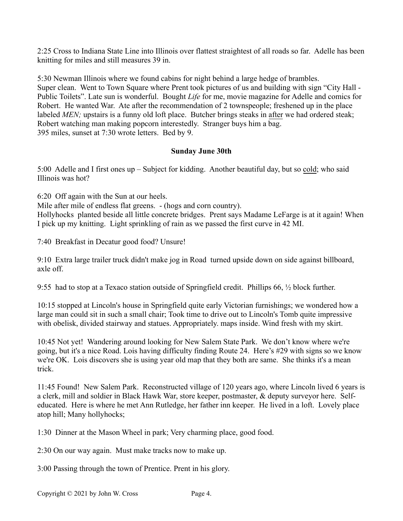2:25 Cross to Indiana State Line into Illinois over flattest straightest of all roads so far. Adelle has been knitting for miles and still measures 39 in.

5:30 Newman Illinois where we found cabins for night behind a large hedge of brambles. Super clean. Went to Town Square where Prent took pictures of us and building with sign "City Hall - Public Toilets". Late sun is wonderful. Bought *Life* for me, movie magazine for Adelle and comics for Robert. He wanted War. Ate after the recommendation of 2 townspeople; freshened up in the place labeled *MEN*; upstairs is a funny old loft place. Butcher brings steaks in after we had ordered steak; Robert watching man making popcorn interestedly. Stranger buys him a bag. 395 miles, sunset at 7:30 wrote letters. Bed by 9.

## **Sunday June 30th**

5:00 Adelle and I first ones up – Subject for kidding. Another beautiful day, but so cold; who said Illinois was hot?

6:20 Off again with the Sun at our heels.

Mile after mile of endless flat greens. - (hogs and corn country).

Hollyhocks planted beside all little concrete bridges. Prent says Madame LeFarge is at it again! When I pick up my knitting. Light sprinkling of rain as we passed the first curve in 42 MI.

7:40 Breakfast in Decatur good food? Unsure!

9:10 Extra large trailer truck didn't make jog in Road turned upside down on side against billboard, axle off.

9:55 had to stop at a Texaco station outside of Springfield credit. Phillips 66, ½ block further.

10:15 stopped at Lincoln's house in Springfield quite early Victorian furnishings; we wondered how a large man could sit in such a small chair; Took time to drive out to Lincoln's Tomb quite impressive with obelisk, divided stairway and statues. Appropriately. maps inside. Wind fresh with my skirt.

10:45 Not yet! Wandering around looking for New Salem State Park. We don't know where we're going, but it's a nice Road. Lois having difficulty finding Route 24. Here's #29 with signs so we know we're OK. Lois discovers she is using year old map that they both are same. She thinks it's a mean trick.

11:45 Found! New Salem Park. Reconstructed village of 120 years ago, where Lincoln lived 6 years is a clerk, mill and soldier in Black Hawk War, store keeper, postmaster, & deputy surveyor here. Selfeducated. Here is where he met Ann Rutledge, her father inn keeper. He lived in a loft. Lovely place atop hill; Many hollyhocks;

1:30 Dinner at the Mason Wheel in park; Very charming place, good food.

2:30 On our way again. Must make tracks now to make up.

3:00 Passing through the town of Prentice. Prent in his glory.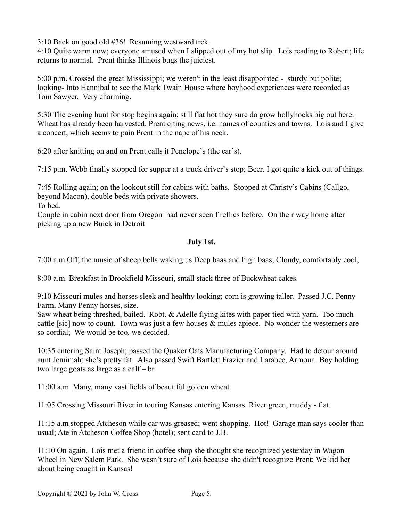3:10 Back on good old #36! Resuming westward trek.

4:10 Quite warm now; everyone amused when I slipped out of my hot slip. Lois reading to Robert; life returns to normal. Prent thinks Illinois bugs the juiciest.

5:00 p.m. Crossed the great Mississippi; we weren't in the least disappointed - sturdy but polite; looking- Into Hannibal to see the Mark Twain House where boyhood experiences were recorded as Tom Sawyer. Very charming.

5:30 The evening hunt for stop begins again; still flat hot they sure do grow hollyhocks big out here. Wheat has already been harvested. Prent citing news, i.e. names of counties and towns. Lois and I give a concert, which seems to pain Prent in the nape of his neck.

6:20 after knitting on and on Prent calls it Penelope's (the car's).

7:15 p.m. Webb finally stopped for supper at a truck driver's stop; Beer. I got quite a kick out of things.

7:45 Rolling again; on the lookout still for cabins with baths. Stopped at Christy's Cabins (Callgo, beyond Macon), double beds with private showers.

To bed.

Couple in cabin next door from Oregon had never seen fireflies before. On their way home after picking up a new Buick in Detroit

## **July 1st.**

7:00 a.m Off; the music of sheep bells waking us Deep baas and high baas; Cloudy, comfortably cool,

8:00 a.m. Breakfast in Brookfield Missouri, small stack three of Buckwheat cakes.

9:10 Missouri mules and horses sleek and healthy looking; corn is growing taller. Passed J.C. Penny Farm, Many Penny horses, size.

Saw wheat being threshed, bailed. Robt. & Adelle flying kites with paper tied with yarn. Too much cattle [sic] now to count. Town was just a few houses & mules apiece. No wonder the westerners are so cordial; We would be too, we decided.

10:35 entering Saint Joseph; passed the Quaker Oats Manufacturing Company. Had to detour around aunt Jemimah; she's pretty fat. Also passed Swift Bartlett Frazier and Larabee, Armour. Boy holding two large goats as large as a calf – br.

11:00 a.m Many, many vast fields of beautiful golden wheat.

11:05 Crossing Missouri River in touring Kansas entering Kansas. River green, muddy - flat.

11:15 a.m stopped Atcheson while car was greased; went shopping. Hot! Garage man says cooler than usual; Ate in Atcheson Coffee Shop (hotel); sent card to J.B.

11:10 On again. Lois met a friend in coffee shop she thought she recognized yesterday in Wagon Wheel in New Salem Park. She wasn't sure of Lois because she didn't recognize Prent; We kid her about being caught in Kansas!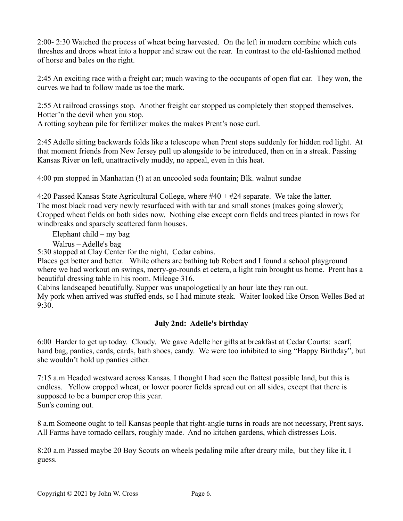2:00- 2:30 Watched the process of wheat being harvested. On the left in modern combine which cuts threshes and drops wheat into a hopper and straw out the rear. In contrast to the old-fashioned method of horse and bales on the right.

2:45 An exciting race with a freight car; much waving to the occupants of open flat car. They won, the curves we had to follow made us toe the mark.

2:55 At railroad crossings stop. Another freight car stopped us completely then stopped themselves. Hotter'n the devil when you stop.

A rotting soybean pile for fertilizer makes the makes Prent's nose curl.

2:45 Adelle sitting backwards folds like a telescope when Prent stops suddenly for hidden red light. At that moment friends from New Jersey pull up alongside to be introduced, then on in a streak. Passing Kansas River on left, unattractively muddy, no appeal, even in this heat.

4:00 pm stopped in Manhattan (!) at an uncooled soda fountain; Blk. walnut sundae

4:20 Passed Kansas State Agricultural College, where #40 + #24 separate. We take the latter. The most black road very newly resurfaced with with tar and small stones (makes going slower); Cropped wheat fields on both sides now. Nothing else except corn fields and trees planted in rows for windbreaks and sparsely scattered farm houses.

Elephant child – my bag

Walrus – Adelle's bag

5:30 stopped at Clay Center for the night, Cedar cabins.

Places get better and better. While others are bathing tub Robert and I found a school playground where we had workout on swings, merry-go-rounds et cetera, a light rain brought us home. Prent has a beautiful dressing table in his room. Mileage 316.

Cabins landscaped beautifully. Supper was unapologetically an hour late they ran out.

My pork when arrived was stuffed ends, so I had minute steak. Waiter looked like Orson Welles Bed at 9:30.

## **July 2nd: Adelle's birthday**

6:00 Harder to get up today. Cloudy. We gave Adelle her gifts at breakfast at Cedar Courts: scarf, hand bag, panties, cards, cards, bath shoes, candy. We were too inhibited to sing "Happy Birthday", but she wouldn't hold up panties either.

7:15 a.m Headed westward across Kansas. I thought I had seen the flattest possible land, but this is endless. Yellow cropped wheat, or lower poorer fields spread out on all sides, except that there is supposed to be a bumper crop this year. Sun's coming out.

8 a.m Someone ought to tell Kansas people that right-angle turns in roads are not necessary, Prent says. All Farms have tornado cellars, roughly made. And no kitchen gardens, which distresses Lois.

8:20 a.m Passed maybe 20 Boy Scouts on wheels pedaling mile after dreary mile, but they like it, I guess.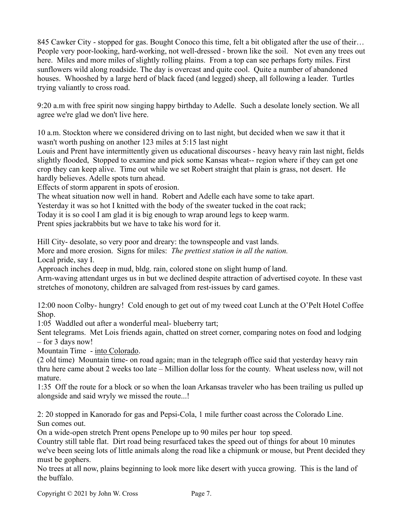845 Cawker City - stopped for gas. Bought Conoco this time, felt a bit obligated after the use of their… People very poor-looking, hard-working, not well-dressed - brown like the soil. Not even any trees out here. Miles and more miles of slightly rolling plains. From a top can see perhaps forty miles. First sunflowers wild along roadside. The day is overcast and quite cool. Quite a number of abandoned houses. Whooshed by a large herd of black faced (and legged) sheep, all following a leader. Turtles trying valiantly to cross road.

9:20 a.m with free spirit now singing happy birthday to Adelle. Such a desolate lonely section. We all agree we're glad we don't live here.

10 a.m. Stockton where we considered driving on to last night, but decided when we saw it that it wasn't worth pushing on another 123 miles at 5:15 last night

Louis and Prent have intermittently given us educational discourses - heavy heavy rain last night, fields slightly flooded, Stopped to examine and pick some Kansas wheat-- region where if they can get one crop they can keep alive. Time out while we set Robert straight that plain is grass, not desert. He hardly believes. Adelle spots turn ahead.

Effects of storm apparent in spots of erosion.

The wheat situation now well in hand. Robert and Adelle each have some to take apart.

Yesterday it was so hot I knitted with the body of the sweater tucked in the coat rack;

Today it is so cool I am glad it is big enough to wrap around legs to keep warm.

Prent spies jackrabbits but we have to take his word for it.

Hill City- desolate, so very poor and dreary: the townspeople and vast lands.

More and more erosion. Signs for miles: *The prettiest station in all the nation.* Local pride, say I.

Approach inches deep in mud, bldg. rain, colored stone on slight hump of land.

Arm-waving attendant urges us in but we declined despite attraction of advertised coyote. In these vast stretches of monotony, children are salvaged from rest-issues by card games.

12:00 noon Colby- hungry! Cold enough to get out of my tweed coat Lunch at the O'Pelt Hotel Coffee Shop.

1:05 Waddled out after a wonderful meal- blueberry tart;

Sent telegrams. Met Lois friends again, chatted on street corner, comparing notes on food and lodging – for 3 days now!

Mountain Time - into Colorado.

(2 old time) Mountain time- on road again; man in the telegraph office said that yesterday heavy rain thru here came about 2 weeks too late – Million dollar loss for the county. Wheat useless now, will not mature.

1:35 Off the route for a block or so when the loan Arkansas traveler who has been trailing us pulled up alongside and said wryly we missed the route...!

2: 20 stopped in Kanorado for gas and Pepsi-Cola, 1 mile further coast across the Colorado Line. Sun comes out.

On a wide-open stretch Prent opens Penelope up to 90 miles per hour top speed.

Country still table flat. Dirt road being resurfaced takes the speed out of things for about 10 minutes we've been seeing lots of little animals along the road like a chipmunk or mouse, but Prent decided they must be gophers.

No trees at all now, plains beginning to look more like desert with yucca growing. This is the land of the buffalo.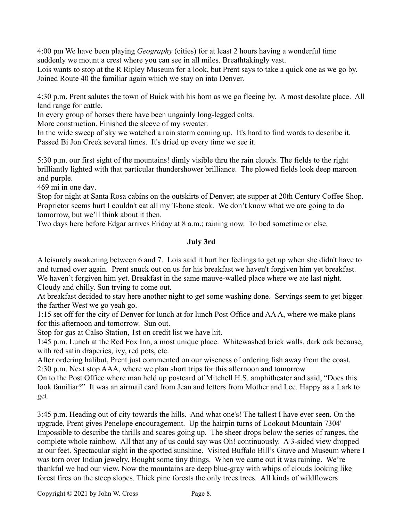4:00 pm We have been playing *Geography* (cities) for at least 2 hours having a wonderful time suddenly we mount a crest where you can see in all miles. Breathtakingly vast.

Lois wants to stop at the R Ripley Museum for a look, but Prent says to take a quick one as we go by. Joined Route 40 the familiar again which we stay on into Denver.

4:30 p.m. Prent salutes the town of Buick with his horn as we go fleeing by. A most desolate place. All land range for cattle.

In every group of horses there have been ungainly long-legged colts.

More construction. Finished the sleeve of my sweater.

In the wide sweep of sky we watched a rain storm coming up. It's hard to find words to describe it. Passed Bi Jon Creek several times. It's dried up every time we see it.

5:30 p.m. our first sight of the mountains! dimly visible thru the rain clouds. The fields to the right brilliantly lighted with that particular thundershower brilliance. The plowed fields look deep maroon and purple.

469 mi in one day.

Stop for night at Santa Rosa cabins on the outskirts of Denver; ate supper at 20th Century Coffee Shop. Proprietor seems hurt I couldn't eat all my T-bone steak. We don't know what we are going to do tomorrow, but we'll think about it then.

Two days here before Edgar arrives Friday at 8 a.m.; raining now. To bed sometime or else.

## **July 3rd**

A leisurely awakening between 6 and 7. Lois said it hurt her feelings to get up when she didn't have to and turned over again. Prent snuck out on us for his breakfast we haven't forgiven him yet breakfast. We haven't forgiven him yet. Breakfast in the same mauve-walled place where we ate last night. Cloudy and chilly. Sun trying to come out.

At breakfast decided to stay here another night to get some washing done. Servings seem to get bigger the farther West we go yeah go.

1:15 set off for the city of Denver for lunch at for lunch Post Office and AA A, where we make plans for this afternoon and tomorrow. Sun out.

Stop for gas at Calso Station, 1st on credit list we have hit.

1:45 p.m. Lunch at the Red Fox Inn, a most unique place. Whitewashed brick walls, dark oak because, with red satin draperies, ivy, red pots, etc.

After ordering halibut, Prent just commented on our wiseness of ordering fish away from the coast. 2:30 p.m. Next stop AAA, where we plan short trips for this afternoon and tomorrow

On to the Post Office where man held up postcard of Mitchell H.S. amphitheater and said, "Does this look familiar?" It was an airmail card from Jean and letters from Mother and Lee. Happy as a Lark to get.

3:45 p.m. Heading out of city towards the hills. And what one's! The tallest I have ever seen. On the upgrade, Prent gives Penelope encouragement. Up the hairpin turns of Lookout Mountain 7304' Impossible to describe the thrills and scares going up. The sheer drops below the series of ranges, the complete whole rainbow. All that any of us could say was Oh! continuously. A 3-sided view dropped at our feet. Spectacular sight in the spotted sunshine. Visited Buffalo Bill's Grave and Museum where I was torn over Indian jewelry. Bought some tiny things. When we came out it was raining. We're thankful we had our view. Now the mountains are deep blue-gray with whips of clouds looking like forest fires on the steep slopes. Thick pine forests the only trees trees. All kinds of wildflowers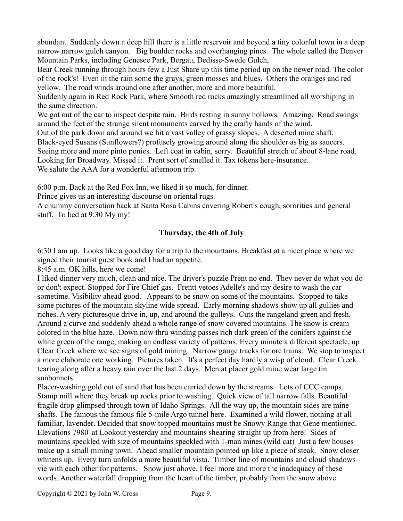abundant. Suddenly down a deep hill there is a little reservoir and beyond a tiny colorful town in a deep narrow narrow gulch canyon. Big boulder rocks and overhanging pines. The whole called the Denver Mountain Parks, including Genesee Park, Bergau, Dedisse-Swede Gulch,

Bear Creek running through hours few a Just Share up this time period up on the newer road. The color of the rock's! Even in the rain some the grays, green mosses and blues. Others the oranges and red yellow. The road winds around one after another, more and more beautiful.

Suddenly again in Red Rock Park, where Smooth red rocks amazingly streamlined all worshiping in the same direction.

We got out of the car to inspect despite rain. Birds resting in sunny hollows. Amazing. Road swings around the feet of the strange silent monuments carved by the crafty hands of the wind.

Out of the park down and around we hit a vast valley of grassy slopes. A deserted mine shaft.

Black-eyed Susans (Sunflowers?) profusely growing around along the shoulder as big as saucers.

Seeing more and more pinto ponies. Left coat in cabin, sorry. Beautiful stretch of about 8-lane road.

Looking for Broadway. Missed it. Prent sort of smelled it. Tax tokens here-insurance.

We salute the AAA for a wonderful afternoon trip.

6:00 p.m. Back at the Red Fox Inn, we liked it so much, for dinner.

Prince gives us an interesting discourse on oriental rugs.

A chummy conversation back at Santa Rosa Cabins covering Robert's cough, sororities and general stuff. To bed at 9:30 My my!

## **Thursday, the 4th of July**

6:30 I am up. Looks like a good day for a trip to the mountains. Breakfast at a nicer place where we signed their tourist guest book and I had an appetite.

8:45 a.m. OK hills, here we come!

I liked dinner very much, clean and nice. The driver's puzzle Prent no end. They never do what you do or don't expect. Stopped for Fire Chief gas. Frentt vetoes Adelle's and my desire to wash the car sometime. Visibility ahead good. Appears to be snow on some of the mountains. Stopped to take some pictures of the mountain skyline wide spread. Early morning shadows show up all gullies and riches. A very picturesque drive in, up, and around the gulleys. Cuts the rangeland green and fresh. Around a curve and suddenly ahead a whole range of snow covered mountains. The snow is cream colored in the blue haze. Down now thru winding passes rich dark green of the conifers against the white green of the range, making an endless variety of patterns. Every minute a different spectacle, up Clear Creek where we see signs of gold mining. Narrow gauge tracks for ore trains. We stop to inspect a more elaborate one working. Pictures taken. It's a perfect day hardly a wisp of cloud. Clear Creek tearing along after a heavy rain over the last 2 days. Men at placer gold mine wear large tin sunbonnets.

Placer-washing gold out of sand that has been carried down by the streams. Lots of CCC camps. Stamp mill where they break up rocks prior to washing. Quick view of tall narrow falls. Beautiful fragile drop glimpsed through town of Idaho Springs. All the way up, the mountain sides are mine shafts. The famous the famous file 5-mile Argo tunnel here. Examined a wild flower, nothing at all familiar, lavender. Decided that snow topped mountains must be Snowy Range that Gene mentioned. Elevations 7980' at Lookout yesterday and mountains shearing straight up from here! Sides of mountains speckled with size of mountains speckled with 1-man mines (wild cat) Just a few houses make up a small mining town. Ahead smaller mountain pointed up like a piece of steak. Snow closer whitens up. Every turn unfolds a more beautiful vista. Timber line of mountains and cloud shadows vie with each other for patterns. Snow just above. I feel more and more the inadequacy of these words. Another waterfall dropping from the heart of the timber, probably from the snow above.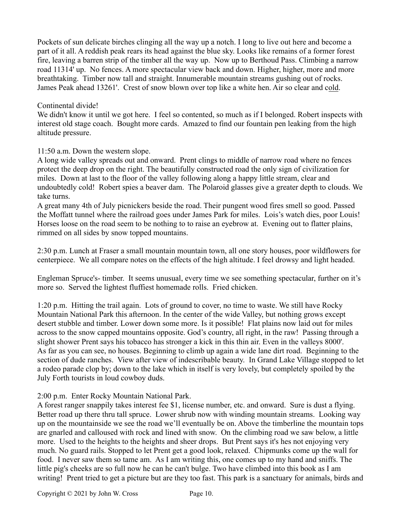Pockets of sun delicate birches clinging all the way up a notch. I long to live out here and become a part of it all. A reddish peak rears its head against the blue sky. Looks like remains of a former forest fire, leaving a barren strip of the timber all the way up. Now up to Berthoud Pass. Climbing a narrow road 11314' up. No fences. A more spectacular view back and down. Higher, higher, more and more breathtaking. Timber now tall and straight. Innumerable mountain streams gushing out of rocks. James Peak ahead 13261'. Crest of snow blown over top like a white hen. Air so clear and cold.

### Continental divide!

We didn't know it until we got here. I feel so contented, so much as if I belonged. Robert inspects with interest old stage coach. Bought more cards. Amazed to find our fountain pen leaking from the high altitude pressure.

## 11:50 a.m. Down the western slope.

A long wide valley spreads out and onward. Prent clings to middle of narrow road where no fences protect the deep drop on the right. The beautifully constructed road the only sign of civilization for miles. Down at last to the floor of the valley following along a happy little stream, clear and undoubtedly cold! Robert spies a beaver dam. The Polaroid glasses give a greater depth to clouds. We take turns.

A great many 4th of July picnickers beside the road. Their pungent wood fires smell so good. Passed the Moffatt tunnel where the railroad goes under James Park for miles. Lois's watch dies, poor Louis! Horses loose on the road seem to be nothing to to raise an eyebrow at. Evening out to flatter plains, rimmed on all sides by snow topped mountains.

2:30 p.m. Lunch at Fraser a small mountain mountain town, all one story houses, poor wildflowers for centerpiece. We all compare notes on the effects of the high altitude. I feel drowsy and light headed.

Engleman Spruce's- timber. It seems unusual, every time we see something spectacular, further on it's more so. Served the lightest fluffiest homemade rolls. Fried chicken.

1:20 p.m. Hitting the trail again. Lots of ground to cover, no time to waste. We still have Rocky Mountain National Park this afternoon. In the center of the wide Valley, but nothing grows except desert stubble and timber. Lower down some more. Is it possible! Flat plains now laid out for miles across to the snow capped mountains opposite. God's country, all right, in the raw! Passing through a slight shower Prent says his tobacco has stronger a kick in this thin air. Even in the valleys 8000'. As far as you can see, no houses. Beginning to climb up again a wide lane dirt road. Beginning to the section of dude ranches. View after view of indescribable beauty. In Grand Lake Village stopped to let a rodeo parade clop by; down to the lake which in itself is very lovely, but completely spoiled by the July Forth tourists in loud cowboy duds.

## 2:00 p.m. Enter Rocky Mountain National Park.

A forest ranger snappily takes interest fee \$1, license number, etc. and onward. Sure is dust a flying. Better road up there thru tall spruce. Lower shrub now with winding mountain streams. Looking way up on the mountainside we see the road we'll eventually be on. Above the timberline the mountain tops are gnarled and calloused with rock and lined with snow. On the climbing road we saw below, a little more. Used to the heights to the heights and sheer drops. But Prent says it's hes not enjoying very much. No guard rails. Stopped to let Prent get a good look, relaxed. Chipmunks come up the wall for food. I never saw them so tame am. As I am writing this, one comes up to my hand and sniffs. The little pig's cheeks are so full now he can he can't bulge. Two have climbed into this book as I am writing! Prent tried to get a picture but are they too fast. This park is a sanctuary for animals, birds and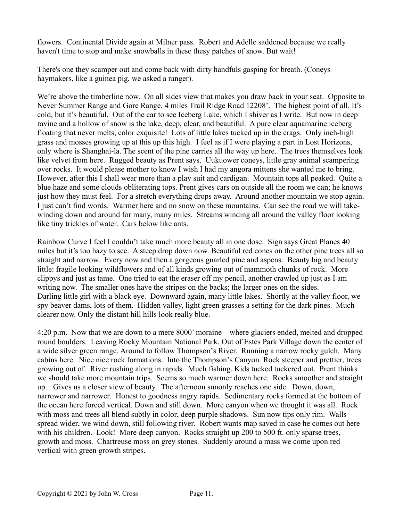flowers. Continental Divide again at Milner pass. Robert and Adelle saddened because we really haven't time to stop and make snowballs in these thesy patches of snow. But wait!

There's one they scamper out and come back with dirty handfuls gasping for breath. (Coneys haymakers, like a guinea pig, we asked a ranger).

We're above the timberline now. On all sides view that makes you draw back in your seat. Opposite to Never Summer Range and Gore Range. 4 miles Trail Ridge Road 12208'. The highest point of all. It's cold, but it's beautiful. Out of the car to see Iceberg Lake, which I shiver as I write. But now in deep ravine and a hollow of snow is the lake, deep, clear, and beautiful. A pure clear aquamarine iceberg floating that never melts, color exquisite! Lots of little lakes tucked up in the crags. Only inch-high grass and mosses growing up at this up this high. I feel as if I were playing a part in Lost Horizons, only where is Shanghai-la. The scent of the pine carries all the way up here. The trees themselves look like velvet from here. Rugged beauty as Prent says. Uukuower coneys, little gray animal scampering over rocks. It would please mother to know I wish I had my angora mittens she wanted me to bring. However, after this I shall wear more than a play suit and cardigan. Mountain tops all peaked. Quite a blue haze and some clouds obliterating tops. Prent gives cars on outside all the room we can; he knows just how they must feel. For a stretch everything drops away. Around another mountain we stop again. I just can't find words. Warmer here and no snow on these mountains. Can see the road we will takewinding down and around for many, many miles. Streams winding all around the valley floor looking like tiny trickles of water. Cars below like ants.

Rainbow Curve I feel I couldn't take much more beauty all in one dose. Sign says Great Planes 40 miles but it's too hazy to see. A steep drop down now. Beautiful red cones on the other pine trees all so straight and narrow. Every now and then a gorgeous gnarled pine and aspens. Beauty big and beauty little: fragile looking wildflowers and of all kinds growing out of mammoth chunks of rock. More clippys and just as tame. One tried to eat the eraser off my pencil, another crawled up just as I am writing now. The smaller ones have the stripes on the backs; the larger ones on the sides. Darling little girl with a black eye. Downward again, many little lakes. Shortly at the valley floor, we spy beaver dams, lots of them. Hidden valley, light green grasses a setting for the dark pines. Much clearer now. Only the distant hill hills look really blue.

4:20 p.m. Now that we are down to a mere 8000' moraine – where glaciers ended, melted and dropped round boulders. Leaving Rocky Mountain National Park. Out of Estes Park Village down the center of a wide silver green range. Around to follow Thompson's River. Running a narrow rocky gulch. Many cabins here. Nice nice rock formations. Into the Thompson's Canyon. Rock steeper and prettier, trees growing out of. River rushing along in rapids. Much fishing. Kids tucked tuckered out. Prent thinks we should take more mountain trips. Seems so much warmer down here. Rocks smoother and straight up. Gives us a closer view of beauty. The afternoon sunonly reaches one side. Down, down, narrower and narrower. Honest to goodness angry rapids. Sedimentary rocks formed at the bottom of the ocean here forced vertical. Down and still down. More canyon when we thought it was all. Rock with moss and trees all blend subtly in color, deep purple shadows. Sun now tips only rim. Walls spread wider, we wind down, still following river. Robert wants map saved in case he comes out here with his children. Look! More deep canyon. Rocks straight up 200 to 500 ft. only sparse trees, growth and moss. Chartreuse moss on grey stones. Suddenly around a mass we come upon red vertical with green growth stripes.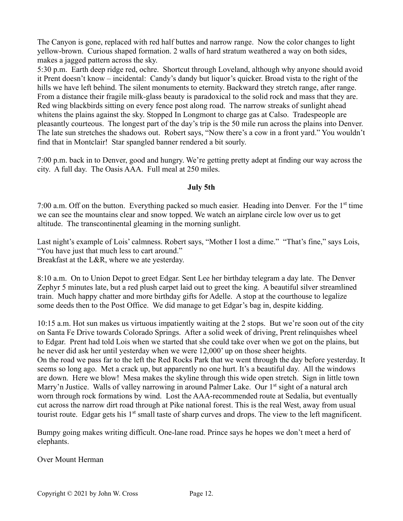The Canyon is gone, replaced with red half buttes and narrow range. Now the color changes to light yellow-brown. Curious shaped formation. 2 walls of hard stratum weathered a way on both sides, makes a jagged pattern across the sky.

5:30 p.m. Earth deep ridge red, ochre. Shortcut through Loveland, although why anyone should avoid it Prent doesn't know – incidental: Candy's dandy but liquor's quicker. Broad vista to the right of the hills we have left behind. The silent monuments to eternity. Backward they stretch range, after range. From a distance their fragile milk-glass beauty is paradoxical to the solid rock and mass that they are. Red wing blackbirds sitting on every fence post along road. The narrow streaks of sunlight ahead whitens the plains against the sky. Stopped In Longmont to charge gas at Calso. Tradespeople are pleasantly courteous. The longest part of the day's trip is the 50 mile run across the plains into Denver. The late sun stretches the shadows out. Robert says, "Now there's a cow in a front yard." You wouldn't find that in Montclair! Star spangled banner rendered a bit sourly.

7:00 p.m. back in to Denver, good and hungry. We're getting pretty adept at finding our way across the city. A full day. The Oasis AAA. Full meal at 250 miles.

### **July 5th**

7:00 a.m. Off on the button. Everything packed so much easier. Heading into Denver. For the 1<sup>st</sup> time we can see the mountains clear and snow topped. We watch an airplane circle low over us to get altitude. The transcontinental gleaming in the morning sunlight.

Last night's example of Lois' calmness. Robert says, "Mother I lost a dime." "That's fine," says Lois, "You have just that much less to cart around." Breakfast at the L&R, where we ate yesterday.

8:10 a.m. On to Union Depot to greet Edgar. Sent Lee her birthday telegram a day late. The Denver Zephyr 5 minutes late, but a red plush carpet laid out to greet the king. A beautiful silver streamlined train. Much happy chatter and more birthday gifts for Adelle. A stop at the courthouse to legalize some deeds then to the Post Office. We did manage to get Edgar's bag in, despite kidding.

10:15 a.m. Hot sun makes us virtuous impatiently waiting at the 2 stops. But we're soon out of the city on Santa Fe Drive towards Colorado Springs. After a solid week of driving, Prent relinquishes wheel to Edgar. Prent had told Lois when we started that she could take over when we got on the plains, but he never did ask her until yesterday when we were 12,000' up on those sheer heights. On the road we pass far to the left the Red Rocks Park that we went through the day before yesterday. It seems so long ago. Met a crack up, but apparently no one hurt. It's a beautiful day. All the windows are down. Here we blow! Mesa makes the skyline through this wide open stretch. Sign in little town Marry'n Justice. Walls of valley narrowing in around Palmer Lake. Our 1<sup>st</sup> sight of a natural arch worn through rock formations by wind. Lost the AAA-recommended route at Sedalia, but eventually cut across the narrow dirt road through at Pike national forest. This is the real West, away from usual tourist route. Edgar gets his 1<sup>st</sup> small taste of sharp curves and drops. The view to the left magnificent.

Bumpy going makes writing difficult. One-lane road. Prince says he hopes we don't meet a herd of elephants.

Over Mount Herman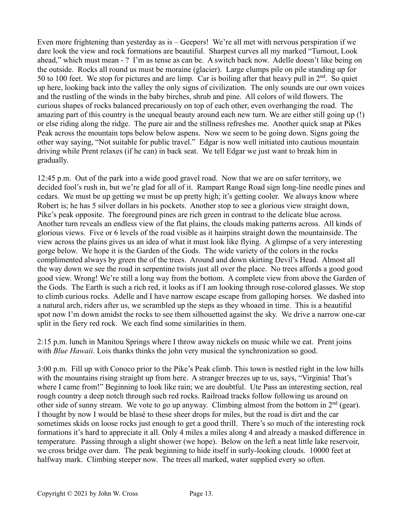Even more frightening than yesterday as is – Geepers! We're all met with nervous perspiration if we dare look the view and rock formations are beautiful. Sharpest curves all my marked "Turnout, Look ahead," which must mean - ? I'm as tense as can be. A switch back now. Adelle doesn't like being on the outside. Rocks all round us must be moraine (glacier). Large clumps pile on pile standing up for 50 to 100 feet. We stop for pictures and are limp. Car is boiling after that heavy pull in  $2<sup>nd</sup>$ . So quiet up here, looking back into the valley the only signs of civilization. The only sounds are our own voices and the rustling of the winds in the baby birches, shrub and pine. All colors of wild flowers. The curious shapes of rocks balanced precariously on top of each other, even overhanging the road. The amazing part of this country is the unequal beauty around each new turn. We are either still going up (!) or else riding along the ridge. The pure air and the stillness refreshes me. Another quick snap at Pikes Peak across the mountain tops below below aspens. Now we seem to be going down. Signs going the other way saying, "Not suitable for public travel." Edgar is now well initiated into cautious mountain driving while Prent relaxes (if he can) in back seat. We tell Edgar we just want to break him in gradually.

12:45 p.m. Out of the park into a wide good gravel road. Now that we are on safer territory, we decided fool's rush in, but we're glad for all of it. Rampart Range Road sign long-line needle pines and cedars. We must be up getting we must be up pretty high; it's getting cooler. We always know where Robert is; he has 5 silver dollars in his pockets. Another stop to see a glorious view straight down, Pike's peak opposite. The foreground pines are rich green in contrast to the delicate blue across. Another turn reveals an endless view of the flat plains, the clouds making patterns across. All kinds of glorious views. Five or 6 levels of the road visible as it hairpins straight down the mountainside. The view across the plains gives us an idea of what it must look like flying. A glimpse of a very interesting gorge below. We hope it is the Garden of the Gods. The wide variety of the colors in the rocks complimented always by green the of the trees. Around and down skirting Devil's Head. Almost all the way down we see the road in serpentine twists just all over the place. No trees affords a good good good view. Wrong! We're still a long way from the bottom. A complete view from above the Garden of the Gods. The Earth is such a rich red, it looks as if I am looking through rose-colored glasses. We stop to climb curious rocks. Adelle and I have narrow escape escape from galloping horses. We dashed into a natural arch, riders after us, we scrambled up the steps as they whoaed in time. This is a beautiful spot now I'm down amidst the rocks to see them silhouetted against the sky. We drive a narrow one-car split in the fiery red rock. We each find some similarities in them.

2:15 p.m. lunch in Manitou Springs where I throw away nickels on music while we eat. Prent joins with *Blue Hawaii*. Lois thanks thinks the john very musical the synchronization so good.

3:00 p.m. Fill up with Conoco prior to the Pike's Peak climb. This town is nestled right in the low hills with the mountains rising straight up from here. A stranger breezes up to us, says, "Virginia! That's where I came from!" Beginning to look like rain; we are doubtful. Ute Pass an interesting section, real rough country a deep notch through such red rocks. Railroad tracks follow following us around on other side of sunny stream. We vote to go up anyway. Climbing almost from the bottom in  $2<sup>nd</sup>$  (gear). I thought by now I would be blasé to these sheer drops for miles, but the road is dirt and the car sometimes skids on loose rocks just enough to get a good thrill. There's so much of the interesting rock formations it's hard to appreciate it all. Only 4 miles a miles along 4 and already a masked difference in temperature. Passing through a slight shower (we hope). Below on the left a neat little lake reservoir, we cross bridge over dam. The peak beginning to hide itself in surly-looking clouds. 10000 feet at halfway mark. Climbing steeper now. The trees all marked, water supplied every so often.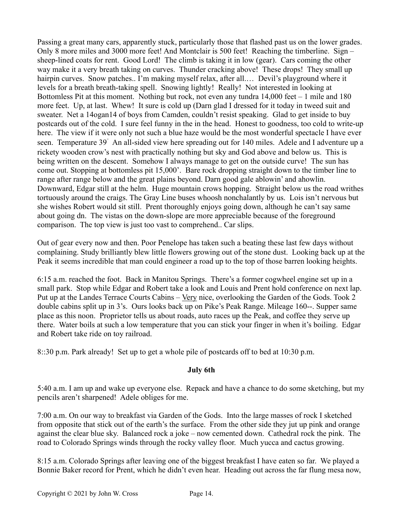Passing a great many cars, apparently stuck, particularly those that flashed past us on the lower grades. Only 8 more miles and 3000 more feet! And Montclair is 500 feet! Reaching the timberline. Sign – sheep-lined coats for rent. Good Lord! The climb is taking it in low (gear). Cars coming the other way make it a very breath taking on curves. Thunder cracking above! These drops! They small up hairpin curves. Snow patches.. I'm making myself relax, after all.... Devil's playground where it levels for a breath breath-taking spell. Snowing lightly! Really! Not interested in looking at Bottomless Pit at this moment. Nothing but rock, not even any tundra 14,000 feet – 1 mile and 180 more feet. Up, at last. Whew! It sure is cold up (Darn glad I dressed for it today in tweed suit and sweater. Net a 14ogan14 of boys from Camden, couldn't resist speaking. Glad to get inside to buy postcards out of the cold. I sure feel funny in the in the head. Honest to goodness, too cold to write-up here. The view if it were only not such a blue haze would be the most wonderful spectacle I have ever seen. Temperature 39゚ An all-sided view here spreading out for 140 miles. Adele and I adventure up a rickety wooden crow's nest with practically nothing but sky and God above and below us. This is being written on the descent. Somehow I always manage to get on the outside curve! The sun has come out. Stopping at bottomless pit 15,000'. Bare rock dropping straight down to the timber line to range after range below and the great plains beyond. Darn good gale ablowin' and ahowlin. Downward, Edgar still at the helm. Huge mountain crows hopping. Straight below us the road writhes tortuously around the craigs. The Gray Line buses whoosh nonchalantly by us. Lois isn't nervous but she wishes Robert would sit still. Prent thoroughly enjoys going down, although he can't say same about going dn. The vistas on the down-slope are more appreciable because of the foreground comparison. The top view is just too vast to comprehend.. Car slips.

Out of gear every now and then. Poor Penelope has taken such a beating these last few days without complaining. Study brilliantly blew little flowers growing out of the stone dust. Looking back up at the Peak it seems incredible that man could engineer a road up to the top of those barren looking heights.

6:15 a.m. reached the foot. Back in Manitou Springs. There's a former cogwheel engine set up in a small park. Stop while Edgar and Robert take a look and Louis and Prent hold conference on next lap. Put up at the Landes Terrace Courts Cabins – Very nice, overlooking the Garden of the Gods. Took 2 double cabins split up in 3's. Ours looks back up on Pike's Peak Range. Mileage 160--. Supper same place as this noon. Proprietor tells us about roads, auto races up the Peak, and coffee they serve up there. Water boils at such a low temperature that you can stick your finger in when it's boiling. Edgar and Robert take ride on toy railroad.

8::30 p.m. Park already! Set up to get a whole pile of postcards off to bed at 10:30 p.m.

### **July 6th**

5:40 a.m. I am up and wake up everyone else. Repack and have a chance to do some sketching, but my pencils aren't sharpened! Adele obliges for me.

7:00 a.m. On our way to breakfast via Garden of the Gods. Into the large masses of rock I sketched from opposite that stick out of the earth's the surface. From the other side they jut up pink and orange against the clear blue sky. Balanced rock a joke – now cemented down. Cathedral rock the pink. The road to Colorado Springs winds through the rocky valley floor. Much yucca and cactus growing.

8:15 a.m. Colorado Springs after leaving one of the biggest breakfast I have eaten so far. We played a Bonnie Baker record for Prent, which he didn't even hear. Heading out across the far flung mesa now,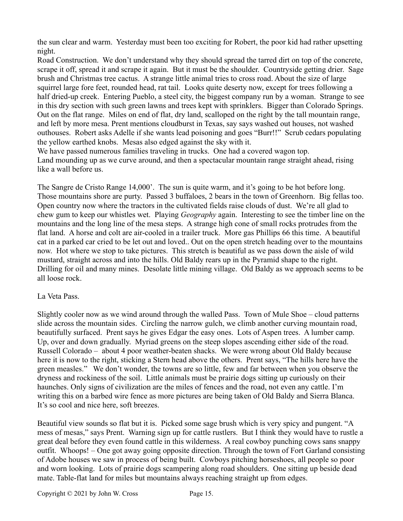the sun clear and warm. Yesterday must been too exciting for Robert, the poor kid had rather upsetting night.

Road Construction. We don't understand why they should spread the tarred dirt on top of the concrete, scrape it off, spread it and scrape it again. But it must be the shoulder. Countryside getting drier. Sage brush and Christmas tree cactus. A strange little animal tries to cross road. About the size of large squirrel large fore feet, rounded head, rat tail. Looks quite deserty now, except for trees following a half dried-up creek. Entering Pueblo, a steel city, the biggest company run by a woman. Strange to see in this dry section with such green lawns and trees kept with sprinklers. Bigger than Colorado Springs. Out on the flat range. Miles on end of flat, dry land, scalloped on the right by the tall mountain range, and left by more mesa. Prent mentions cloudburst in Texas, say says washed out houses, not washed outhouses. Robert asks Adelle if she wants lead poisoning and goes "Burr!!" Scrub cedars populating the yellow earthed knobs. Mesas also edged against the sky with it.

We have passed numerous families traveling in trucks. One had a covered wagon top. Land mounding up as we curve around, and then a spectacular mountain range straight ahead, rising like a wall before us.

The Sangre de Cristo Range 14,000'. The sun is quite warm, and it's going to be hot before long. Those mountains shore are purty. Passed 3 buffaloes, 2 bears in the town of Greenhorn. Big fellas too. Open country now where the tractors in the cultivated fields raise clouds of dust. We're all glad to chew gum to keep our whistles wet. Playing *Geography* again. Interesting to see the timber line on the mountains and the long line of the mesa steps. A strange high cone of small rocks protrudes from the flat land. A horse and colt are air-cooled in a trailer truck. More gas Phillips 66 this time. A beautiful cat in a parked car cried to be let out and loved.. Out on the open stretch heading over to the mountains now. Hot where we stop to take pictures. This stretch is beautiful as we pass down the aisle of wild mustard, straight across and into the hills. Old Baldy rears up in the Pyramid shape to the right. Drilling for oil and many mines. Desolate little mining village. Old Baldy as we approach seems to be all loose rock.

### La Veta Pass.

Slightly cooler now as we wind around through the walled Pass. Town of Mule Shoe – cloud patterns slide across the mountain sides. Circling the narrow gulch, we climb another curving mountain road, beautifully surfaced. Prent says he gives Edgar the easy ones. Lots of Aspen trees. A lumber camp. Up, over and down gradually. Myriad greens on the steep slopes ascending either side of the road. Russell Colorado – about 4 poor weather-beaten shacks. We were wrong about Old Baldy because here it is now to the right, sticking a Stern head above the others. Prent says, "The hills here have the green measles." We don't wonder, the towns are so little, few and far between when you observe the dryness and rockiness of the soil. Little animals must be prairie dogs sitting up curiously on their haunches. Only signs of civilization are the miles of fences and the road, not even any cattle. I'm writing this on a barbed wire fence as more pictures are being taken of Old Baldy and Sierra Blanca. It's so cool and nice here, soft breezes.

Beautiful view sounds so flat but it is. Picked some sage brush which is very spicy and pungent. "A mess of mesas," says Prent. Warning sign up for cattle rustlers. But I think they would have to rustle a great deal before they even found cattle in this wilderness. A real cowboy punching cows sans snappy outfit. Whoops! – One got away going opposite direction. Through the town of Fort Garland consisting of Adobe houses we saw in process of being built. Cowboys pitching horseshoes, all people so poor and worn looking. Lots of prairie dogs scampering along road shoulders. One sitting up beside dead mate. Table-flat land for miles but mountains always reaching straight up from edges.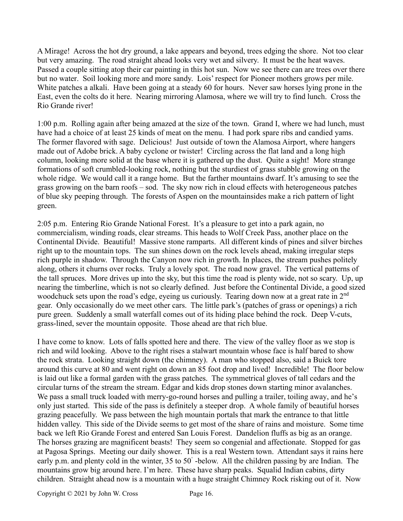A Mirage! Across the hot dry ground, a lake appears and beyond, trees edging the shore. Not too clear but very amazing. The road straight ahead looks very wet and silvery. It must be the heat waves. Passed a couple sitting atop their car painting in this hot sun. Now we see there can are trees over there but no water. Soil looking more and more sandy. Lois' respect for Pioneer mothers grows per mile. White patches a alkali. Have been going at a steady 60 for hours. Never saw horses lying prone in the East, even the colts do it here. Nearing mirroring Alamosa, where we will try to find lunch. Cross the Rio Grande river!

1:00 p.m. Rolling again after being amazed at the size of the town. Grand I, where we had lunch, must have had a choice of at least 25 kinds of meat on the menu. I had pork spare ribs and candied yams. The former flavored with sage. Delicious! Just outside of town the Alamosa Airport, where hangers made out of Adobe brick. A baby cyclone or twister! Circling across the flat land and a long high column, looking more solid at the base where it is gathered up the dust. Quite a sight! More strange formations of soft crumbled-looking rock, nothing but the sturdiest of grass stubble growing on the whole ridge. We would call it a range home. But the farther mountains dwarf. It's amusing to see the grass growing on the barn roofs – sod. The sky now rich in cloud effects with heterogeneous patches of blue sky peeping through. The forests of Aspen on the mountainsides make a rich pattern of light green.

2:05 p.m. Entering Rio Grande National Forest. It's a pleasure to get into a park again, no commercialism, winding roads, clear streams. This heads to Wolf Creek Pass, another place on the Continental Divide. Beautiful! Massive stone ramparts. All different kinds of pines and silver birches right up to the mountain tops. The sun shines down on the rock levels ahead, making irregular steps rich purple in shadow. Through the Canyon now rich in growth. In places, the stream pushes politely along, others it churns over rocks. Truly a lovely spot. The road now gravel. The vertical patterns of the tall spruces. More drives up into the sky, but this time the road is plenty wide, not so scary. Up, up nearing the timberline, which is not so clearly defined. Just before the Continental Divide, a good sized woodchuck sets upon the road's edge, eyeing us curiously. Tearing down now at a great rate in 2<sup>nd</sup> gear. Only occasionally do we meet other cars. The little park's (patches of grass or openings) a rich pure green. Suddenly a small waterfall comes out of its hiding place behind the rock. Deep V-cuts, grass-lined, sever the mountain opposite. Those ahead are that rich blue.

I have come to know. Lots of falls spotted here and there. The view of the valley floor as we stop is rich and wild looking. Above to the right rises a stalwart mountain whose face is half bared to show the rock strata. Looking straight down (the chimney). A man who stopped also, said a Buick tore around this curve at 80 and went right on down an 85 foot drop and lived! Incredible! The floor below is laid out like a formal garden with the grass patches. The symmetrical gloves of tall cedars and the circular turns of the stream the stream. Edgar and kids drop stones down starting minor avalanches. We pass a small truck loaded with merry-go-round horses and pulling a trailer, toiling away, and he's only just started. This side of the pass is definitely a steeper drop. A whole family of beautiful horses grazing peacefully. We pass between the high mountain portals that mark the entrance to that little hidden valley. This side of the Divide seems to get most of the share of rains and moisture. Some time back we left Rio Grande Forest and entered San Louis Forest. Dandelion fluffs as big as an orange. The horses grazing are magnificent beasts! They seem so congenial and affectionate. Stopped for gas at Pagosa Springs. Meeting our daily shower. This is a real Western town. Attendant says it rains here early p.m. and plenty cold in the winter, 35 to 50°-below. All the children passing by are Indian. The mountains grow big around here. I'm here. These have sharp peaks. Squalid Indian cabins, dirty children. Straight ahead now is a mountain with a huge straight Chimney Rock risking out of it. Now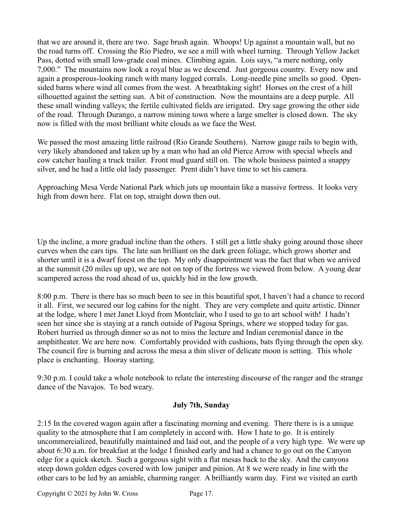that we are around it, there are two. Sage brush again. Whoops! Up against a mountain wall, but no the road turns off. Crossing the Rio Piedro, we see a mill with wheel turning. Through Yellow Jacket Pass, dotted with small low-grade coal mines. Climbing again. Lois says, "a mere nothing, only 7,000." The mountains now look a royal blue as we descend. Just gorgeous country. Every now and again a prosperous-looking ranch with many logged corrals. Long-needle pine smells so good. Opensided barns where wind all comes from the west. A breathtaking sight! Horses on the crest of a hill silhouetted against the setting sun. A bit of construction. Now the mountains are a deep purple. All these small winding valleys; the fertile cultivated fields are irrigated. Dry sage growing the other side of the road. Through Durango, a narrow mining town where a large smelter is closed down. The sky now is filled with the most brilliant white clouds as we face the West.

We passed the most amazing little railroad (Rio Grande Southern). Narrow gauge rails to begin with, very likely abandoned and taken up by a man who had an old Pierce Arrow with special wheels and cow catcher hauling a truck trailer. Front mud guard still on. The whole business painted a snappy silver, and he had a little old lady passenger. Prent didn't have time to set his camera.

Approaching Mesa Verde National Park which juts up mountain like a massive fortress. It looks very high from down here. Flat on top, straight down then out.

Up the incline, a more gradual incline than the others. I still get a little shaky going around those sheer curves when the cars tips. The late sun brilliant on the dark green foliage, which grows shorter and shorter until it is a dwarf forest on the top. My only disappointment was the fact that when we arrived at the summit (20 miles up up), we are not on top of the fortress we viewed from below. A young dear scampered across the road ahead of us, quickly hid in the low growth.

8:00 p.m. There is there has so much been to see in this beautiful spot, I haven't had a chance to record it all. First, we secured our log cabins for the night. They are very complete and quite artistic. Dinner at the lodge, where I met Janet Lloyd from Montclair, who I used to go to art school with! I hadn't seen her since she is staying at a ranch outside of Pagosa Springs, where we stopped today for gas. Robert hurried us through dinner so as not to miss the lecture and Indian ceremonial dance in the amphitheater. We are here now. Comfortably provided with cushions, bats flying through the open sky. The council fire is burning and across the mesa a thin sliver of delicate moon is setting. This whole place is enchanting. Hooray starting.

9:30 p.m. I could take a whole notebook to relate the interesting discourse of the ranger and the strange dance of the Navajos. To bed weary.

### **July 7th, Sunday**

2:15 In the covered wagon again after a fascinating morning and evening. There there is is a unique quality to the atmosphere that I am completely in accord with. How I hate to go. It is entirely uncommercialized, beautifully maintained and laid out, and the people of a very high type. We were up about 6:30 a.m. for breakfast at the lodge I finished early and had a chance to go out on the Canyon edge for a quick sketch. Such a gorgeous sight with a flat mesas back to the sky. And the canyons steep down golden edges covered with low juniper and pinion. At 8 we were ready in line with the other cars to be led by an amiable, charming ranger. A brilliantly warm day. First we visited an earth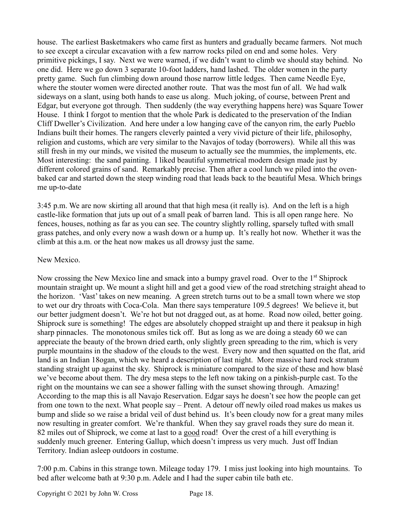house. The earliest Basketmakers who came first as hunters and gradually became farmers. Not much to see except a circular excavation with a few narrow rocks piled on end and some holes. Very primitive pickings, I say. Next we were warned, if we didn't want to climb we should stay behind. No one did. Here we go down 3 separate 10-foot ladders, hand lashed. The older women in the party pretty game. Such fun climbing down around those narrow little ledges. Then came Needle Eye, where the stouter women were directed another route. That was the most fun of all. We had walk sideways on a slant, using both hands to ease us along. Much joking, of course, between Prent and Edgar, but everyone got through. Then suddenly (the way everything happens here) was Square Tower House. I think I forgot to mention that the whole Park is dedicated to the preservation of the Indian Cliff Dweller's Civilization. And here under a low hanging cave of the canyon rim, the early Pueblo Indians built their homes. The rangers cleverly painted a very vivid picture of their life, philosophy, religion and customs, which are very similar to the Navajos of today (borrowers). While all this was still fresh in my our minds, we visited the museum to actually see the mummies, the implements, etc. Most interesting: the sand painting. I liked beautiful symmetrical modern design made just by different colored grains of sand. Remarkably precise. Then after a cool lunch we piled into the ovenbaked car and started down the steep winding road that leads back to the beautiful Mesa. Which brings me up-to-date

3:45 p.m. We are now skirting all around that that high mesa (it really is). And on the left is a high castle-like formation that juts up out of a small peak of barren land. This is all open range here. No fences, houses, nothing as far as you can see. The country slightly rolling, sparsely tufted with small grass patches, and only every now a wash down or a hump up. It's really hot now. Whether it was the climb at this a.m. or the heat now makes us all drowsy just the same.

## New Mexico.

Now crossing the New Mexico line and smack into a bumpy gravel road. Over to the 1<sup>st</sup> Shiprock mountain straight up. We mount a slight hill and get a good view of the road stretching straight ahead to the horizon. 'Vast' takes on new meaning. A green stretch turns out to be a small town where we stop to wet our dry throats with Coca-Cola. Man there says temperature 109.5 degrees! We believe it, but our better judgment doesn't. We're hot but not dragged out, as at home. Road now oiled, better going. Shiprock sure is something! The edges are absolutely chopped straight up and there it peaksup in high sharp pinnacles. The monotonous smiles tick off. But as long as we are doing a steady 60 we can appreciate the beauty of the brown dried earth, only slightly green spreading to the rim, which is very purple mountains in the shadow of the clouds to the west. Every now and then squatted on the flat, arid land is an Indian 18ogan, which we heard a description of last night. More massive hard rock stratum standing straight up against the sky. Shiprock is miniature compared to the size of these and how blasé we've become about them. The dry mesa steps to the left now taking on a pinkish-purple cast. To the right on the mountains we can see a shower falling with the sunset showing through. Amazing! According to the map this is all Navajo Reservation. Edgar says he doesn't see how the people can get from one town to the next. What people say – Prent. A detour off newly oiled road makes us makes us bump and slide so we raise a bridal veil of dust behind us. It's been cloudy now for a great many miles now resulting in greater comfort. We're thankful. When they say gravel roads they sure do mean it. 82 miles out of Shiprock, we come at last to a good road! Over the crest of a hill everything is suddenly much greener. Entering Gallup, which doesn't impress us very much. Just off Indian Territory. Indian asleep outdoors in costume.

7:00 p.m. Cabins in this strange town. Mileage today 179. I miss just looking into high mountains. To bed after welcome bath at 9:30 p.m. Adele and I had the super cabin tile bath etc.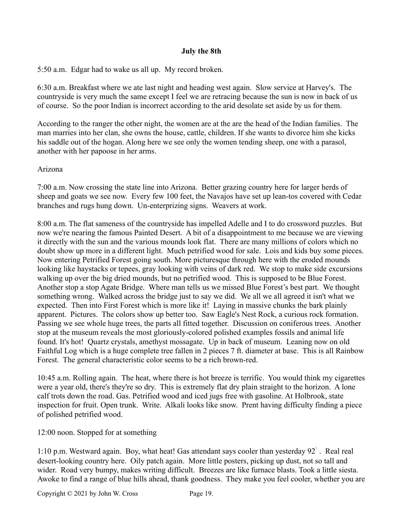## **July the 8th**

5:50 a.m. Edgar had to wake us all up. My record broken.

6:30 a.m. Breakfast where we ate last night and heading west again. Slow service at Harvey's. The countryside is very much the same except I feel we are retracing because the sun is now in back of us of course. So the poor Indian is incorrect according to the arid desolate set aside by us for them.

According to the ranger the other night, the women are at the are the head of the Indian families. The man marries into her clan, she owns the house, cattle, children. If she wants to divorce him she kicks his saddle out of the hogan. Along here we see only the women tending sheep, one with a parasol, another with her papoose in her arms.

### Arizona

7:00 a.m. Now crossing the state line into Arizona. Better grazing country here for larger herds of sheep and goats we see now. Every few 100 feet, the Navajos have set up lean-tos covered with Cedar branches and rugs hung down. Un-enterprizing signs. Weavers at work.

8:00 a.m. The flat sameness of the countryside has impelled Adelle and I to do crossword puzzles. But now we're nearing the famous Painted Desert. A bit of a disappointment to me because we are viewing it directly with the sun and the various mounds look flat. There are many millions of colors which no doubt show up more in a different light. Much petrified wood for sale. Lois and kids buy some pieces. Now entering Petrified Forest going south. More picturesque through here with the eroded mounds looking like haystacks or tepees, gray looking with veins of dark red. We stop to make side excursions walking up over the big dried mounds, but no petrified wood. This is supposed to be Blue Forest. Another stop a stop Agate Bridge. Where man tells us we missed Blue Forest's best part. We thought something wrong. Walked across the bridge just to say we did. We all we all agreed it isn't what we expected. Then into First Forest which is more like it! Laying in massive chunks the bark plainly apparent. Pictures. The colors show up better too. Saw Eagle's Nest Rock, a curious rock formation. Passing we see whole huge trees, the parts all fitted together. Discussion on coniferous trees. Another stop at the museum reveals the most gloriously-colored polished examples fossils and animal life found. It's hot! Quartz crystals, amethyst mossagate. Up in back of museum. Leaning now on old Faithful Log which is a huge complete tree fallen in 2 pieces 7 ft. diameter at base. This is all Rainbow Forest. The general characteristic color seems to be a rich brown-red.

10:45 a.m. Rolling again. The heat, where there is hot breeze is terrific. You would think my cigarettes were a year old, there's they're so dry. This is extremely flat dry plain straight to the horizon. A lone calf trots down the road. Gas. Petrified wood and iced jugs free with gasoline. At Holbrook, state inspection for fruit. Open trunk. Write. Alkali looks like snow. Prent having difficulty finding a piece of polished petrified wood.

12:00 noon. Stopped for at something

1:10 p.m. Westward again. Boy, what heat! Gas attendant says cooler than yesterday 92゚. Real real desert-looking country here. Oily patch again. More little posters, picking up dust, not so tall and wider. Road very bumpy, makes writing difficult. Breezes are like furnace blasts. Took a little siesta. Awoke to find a range of blue hills ahead, thank goodness. They make you feel cooler, whether you are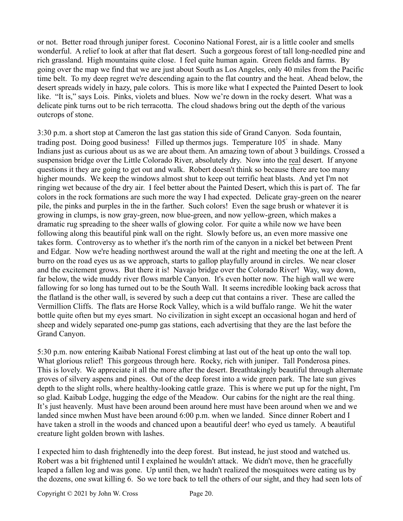or not. Better road through juniper forest. Coconino National Forest, air is a little cooler and smells wonderful. A relief to look at after that flat desert. Such a gorgeous forest of tall long-needled pine and rich grassland. High mountains quite close. I feel quite human again. Green fields and farms. By going over the map we find that we are just about South as Los Angeles, only 40 miles from the Pacific time belt. To my deep regret we're descending again to the flat country and the heat. Ahead below, the desert spreads widely in hazy, pale colors. This is more like what I expected the Painted Desert to look like. "It is," says Lois. Pinks, violets and blues. Now we're down in the rocky desert. What was a delicate pink turns out to be rich terracotta. The cloud shadows bring out the depth of the various outcrops of stone.

3:30 p.m. a short stop at Cameron the last gas station this side of Grand Canyon. Soda fountain, trading post. Doing good business! Filled up thermos jugs. Temperature 105゚ in shade. Many Indians just as curious about us as we are about them. An amazing town of about 3 buildings. Crossed a suspension bridge over the Little Colorado River, absolutely dry. Now into the real desert. If anyone questions it they are going to get out and walk. Robert doesn't think so because there are too many higher mounds. We keep the windows almost shut to keep out terrific heat blasts. And yet I'm not ringing wet because of the dry air. I feel better about the Painted Desert, which this is part of. The far colors in the rock formations are such more the way I had expected. Delicate gray-green on the nearer pile, the pinks and purples in the in the farther. Such colors! Even the sage brush or whatever it is growing in clumps, is now gray-green, now blue-green, and now yellow-green, which makes a dramatic rug spreading to the sheer walls of glowing color. For quite a while now we have been following along this beautiful pink wall on the right. Slowly before us, an even more massive one takes form. Controversy as to whether it's the north rim of the canyon in a nickel bet between Prent and Edgar. Now we're heading northwest around the wall at the right and meeting the one at the left. A burro on the road eyes us as we approach, starts to gallop playfully around in circles. We near closer and the excitement grows. But there it is! Navajo bridge over the Colorado River! Way, way down, far below, the wide muddy river flows marble Canyon. It's even hotter now. The high wall we were fallowing for so long has turned out to be the South Wall. It seems incredible looking back across that the flatland is the other wall, is severed by such a deep cut that contains a river. These are called the Vermillion Cliffs. The flats are Horse Rock Valley, which is a wild buffalo range. We hit the water bottle quite often but my eyes smart. No civilization in sight except an occasional hogan and herd of sheep and widely separated one-pump gas stations, each advertising that they are the last before the Grand Canyon.

5:30 p.m. now entering Kaibab National Forest climbing at last out of the heat up onto the wall top. What glorious relief! This gorgeous through here. Rocky, rich with juniper. Tall Ponderosa pines. This is lovely. We appreciate it all the more after the desert. Breathtakingly beautiful through alternate groves of silvery aspens and pines. Out of the deep forest into a wide green park. The late sun gives depth to the slight rolls, where healthy-looking cattle graze. This is where we put up for the night, I'm so glad. Kaibab Lodge, hugging the edge of the Meadow. Our cabins for the night are the real thing. It's just heavenly. Must have been around been around here must have been around when we and we landed since mwhen Must have been around 6:00 p.m. when we landed. Since dinner Robert and I have taken a stroll in the woods and chanced upon a beautiful deer! who eyed us tamely. A beautiful creature light golden brown with lashes.

I expected him to dash frightenedly into the deep forest. But instead, he just stood and watched us. Robert was a bit frightened until I explained he wouldn't attack. We didn't move, then he gracefully leaped a fallen log and was gone. Up until then, we hadn't realized the mosquitoes were eating us by the dozens, one swat killing 6. So we tore back to tell the others of our sight, and they had seen lots of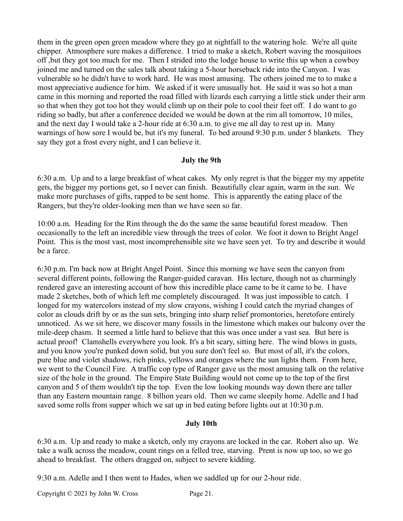them in the green open green meadow where they go at nightfall to the watering hole. We're all quite chipper. Atmosphere sure makes a difference. I tried to make a sketch, Robert waving the mosquitoes off ,but they got too much for me. Then I strided into the lodge house to write this up when a cowboy joined me and turned on the sales talk about taking a 5-hour horseback ride into the Canyon. I was vulnerable so he didn't have to work hard. He was most amusing. The others joined me to to make a most appreciative audience for him. We asked if it were unusually hot. He said it was so hot a man came in this morning and reported the road filled with lizards each carrying a little stick under their arm so that when they got too hot they would climb up on their pole to cool their feet off. I do want to go riding so badly, but after a conference decided we would be down at the rim all tomorrow, 10 miles, and the next day I would take a 2-hour ride at 6:30 a.m. to give me all day to rest up in. Many warnings of how sore I would be, but it's my funeral. To bed around 9:30 p.m. under 5 blankets. They say they got a frost every night, and I can believe it.

#### **July the 9th**

6:30 a.m. Up and to a large breakfast of wheat cakes. My only regret is that the bigger my my appetite gets, the bigger my portions get, so I never can finish. Beautifully clear again, warm in the sun. We make more purchases of gifts, rapped to be sent home. This is apparently the eating place of the Rangers, but they're older-looking men than we have seen so far.

10:00 a.m. Heading for the Rim through the do the same the same beautiful forest meadow. Then occasionally to the left an incredible view through the trees of color. We foot it down to Bright Angel Point. This is the most vast, most incomprehensible site we have seen yet. To try and describe it would be a farce.

6:30 p.m. I'm back now at Bright Angel Point. Since this morning we have seen the canyon from several different points, following the Ranger-guided caravan. His lecture, though not as charmingly rendered gave an interesting account of how this incredible place came to be it came to be. I have made 2 sketches, both of which left me completely discouraged. It was just impossible to catch. I longed for my watercolors instead of my slow crayons, wishing I could catch the myriad changes of color as clouds drift by or as the sun sets, bringing into sharp relief promontories, heretofore entirely unnoticed. As we sit here, we discover many fossils in the limestone which makes our balcony over the mile-deep chasm. It seemed a little hard to believe that this was once under a vast sea. But here is actual proof! Clamshells everywhere you look. It's a bit scary, sitting here. The wind blows in gusts, and you know you're punked down solid, but you sure don't feel so. But most of all, it's the colors, pure blue and violet shadows, rich pinks, yellows and oranges where the sun lights them. From here, we went to the Council Fire. A traffic cop type of Ranger gave us the most amusing talk on the relative size of the hole in the ground. The Empire State Building would not come up to the top of the first canyon and 5 of them wouldn't tip the top. Even the low looking mounds way down there are taller than any Eastern mountain range. 8 billion years old. Then we came sleepily home. Adelle and I had saved some rolls from supper which we sat up in bed eating before lights out at 10:30 p.m.

### **July 10th**

6:30 a.m. Up and ready to make a sketch, only my crayons are locked in the car. Robert also up. We take a walk across the meadow, count rings on a felled tree, starving. Prent is now up too, so we go ahead to breakfast. The others dragged on, subject to severe kidding.

9:30 a.m. Adelle and I then went to Hades, when we saddled up for our 2-hour ride.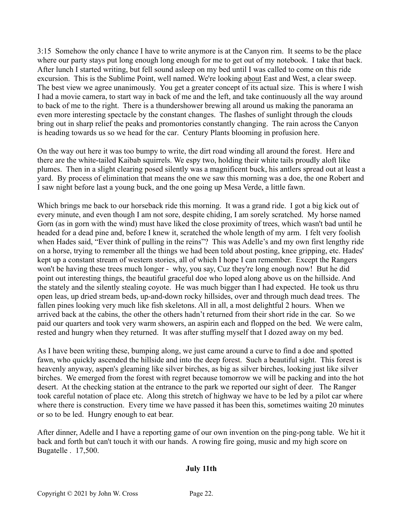3:15 Somehow the only chance I have to write anymore is at the Canyon rim. It seems to be the place where our party stays put long enough long enough for me to get out of my notebook. I take that back. After lunch I started writing, but fell sound asleep on my bed until I was called to come on this ride excursion. This is the Sublime Point, well named. We're looking about East and West, a clear sweep. The best view we agree unanimously. You get a greater concept of its actual size. This is where I wish I had a movie camera, to start way in back of me and the left, and take continuously all the way around to back of me to the right. There is a thundershower brewing all around us making the panorama an even more interesting spectacle by the constant changes. The flashes of sunlight through the clouds bring out in sharp relief the peaks and promontories constantly changing. The rain across the Canyon is heading towards us so we head for the car. Century Plants blooming in profusion here.

On the way out here it was too bumpy to write, the dirt road winding all around the forest. Here and there are the white-tailed Kaibab squirrels. We espy two, holding their white tails proudly aloft like plumes. Then in a slight clearing posed silently was a magnificent buck, his antlers spread out at least a yard. By process of elimination that means the one we saw this morning was a doe, the one Robert and I saw night before last a young buck, and the one going up Mesa Verde, a little fawn.

Which brings me back to our horseback ride this morning. It was a grand ride. I got a big kick out of every minute, and even though I am not sore, despite chiding, I am sorely scratched. My horse named Gorn (as in gorn with the wind) must have liked the close proximity of trees, which wasn't bad until he headed for a dead pine and, before I knew it, scratched the whole length of my arm. I felt very foolish when Hades said, "Ever think of pulling in the reins"? This was Adelle's and my own first lengthy ride on a horse, trying to remember all the things we had been told about posting, knee gripping, etc. Hades' kept up a constant stream of western stories, all of which I hope I can remember. Except the Rangers won't be having these trees much longer - why, you say, Cuz they're long enough now! But he did point out interesting things, the beautiful graceful doe who loped along above us on the hillside. And the stately and the silently stealing coyote. He was much bigger than I had expected. He took us thru open leas, up dried stream beds, up-and-down rocky hillsides, over and through much dead trees. The fallen pines looking very much like fish skeletons. All in all, a most delightful 2 hours. When we arrived back at the cabins, the other the others hadn't returned from their short ride in the car. So we paid our quarters and took very warm showers, an aspirin each and flopped on the bed. We were calm, rested and hungry when they returned. It was after stuffing myself that I dozed away on my bed.

As I have been writing these, bumping along, we just came around a curve to find a doe and spotted fawn, who quickly ascended the hillside and into the deep forest. Such a beautiful sight. This forest is heavenly anyway, aspen's gleaming like silver birches, as big as silver birches, looking just like silver birches. We emerged from the forest with regret because tomorrow we will be packing and into the hot desert. At the checking station at the entrance to the park we reported our sight of deer. The Ranger took careful notation of place etc. Along this stretch of highway we have to be led by a pilot car where where there is construction. Every time we have passed it has been this, sometimes waiting 20 minutes or so to be led. Hungry enough to eat bear.

After dinner, Adelle and I have a reporting game of our own invention on the ping-pong table. We hit it back and forth but can't touch it with our hands. A rowing fire going, music and my high score on Bugatelle . 17,500.

## **July 11th**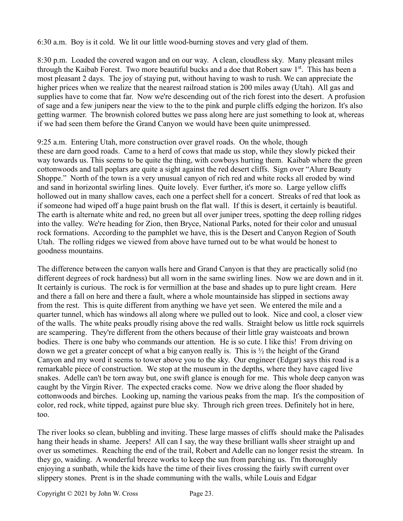6:30 a.m. Boy is it cold. We lit our little wood-burning stoves and very glad of them.

8:30 p.m. Loaded the covered wagon and on our way. A clean, cloudless sky. Many pleasant miles through the Kaibab Forest. Two more beautiful bucks and a doe that Robert saw 1st. This has been a most pleasant 2 days. The joy of staying put, without having to wash to rush. We can appreciate the higher prices when we realize that the nearest railroad station is 200 miles away (Utah). All gas and supplies have to come that far. Now we're descending out of the rich forest into the desert. A profusion of sage and a few junipers near the view to the to the pink and purple cliffs edging the horizon. It's also getting warmer. The brownish colored buttes we pass along here are just something to look at, whereas if we had seen them before the Grand Canyon we would have been quite unimpressed.

9:25 a.m. Entering Utah, more construction over gravel roads. On the whole, though these are darn good roads. Came to a herd of cows that made us stop, while they slowly picked their way towards us. This seems to be quite the thing, with cowboys hurting them. Kaibab where the green cottonwoods and tall poplars are quite a sight against the red desert cliffs. Sign over "Alure Beauty Shoppe." North of the town is a very unusual canyon of rich red and white rocks all eroded by wind and sand in horizontal swirling lines. Quite lovely. Ever further, it's more so. Large yellow cliffs hollowed out in many shallow caves, each one a perfect shell for a concert. Streaks of red that look as if someone had wiped off a huge paint brush on the flat wall. If this is desert, it certainly is beautiful. The earth is alternate white and red, no green but all over juniper trees, spotting the deep rolling ridges into the valley. We're heading for Zion, then Bryce, National Parks, noted for their color and unusual rock formations. According to the pamphlet we have, this is the Desert and Canyon Region of South Utah. The rolling ridges we viewed from above have turned out to be what would be honest to goodness mountains.

The difference between the canyon walls here and Grand Canyon is that they are practically solid (no different degrees of rock hardness) but all worn in the same swirling lines. Now we are down and in it. It certainly is curious. The rock is for vermillion at the base and shades up to pure light cream. Here and there a fall on here and there a fault, where a whole mountainside has slipped in sections away from the rest. This is quite different from anything we have yet seen. We entered the mile and a quarter tunnel, which has windows all along where we pulled out to look. Nice and cool, a closer view of the walls. The white peaks proudly rising above the red walls. Straight below us little rock squirrels are scampering. They're different from the others because of their little gray waistcoats and brown bodies. There is one baby who commands our attention. He is so cute. I like this! From driving on down we get a greater concept of what a big canyon really is. This is ½ the height of the Grand Canyon and my word it seems to tower above you to the sky. Our engineer (Edgar) says this road is a remarkable piece of construction. We stop at the museum in the depths, where they have caged live snakes. Adelle can't be torn away but, one swift glance is enough for me. This whole deep canyon was caught by the Virgin River. The expected cracks come. Now we drive along the floor shaded by cottonwoods and birches. Looking up, naming the various peaks from the map. It's the composition of color, red rock, white tipped, against pure blue sky. Through rich green trees. Definitely hot in here, too.

The river looks so clean, bubbling and inviting. These large masses of cliffs should make the Palisades hang their heads in shame. Jeepers! All can I say, the way these brilliant walls sheer straight up and over us sometimes. Reaching the end of the trail, Robert and Adelle can no longer resist the stream. In they go, waiding. A wonderful breeze works to keep the sun from parching us. I'm thoroughly enjoying a sunbath, while the kids have the time of their lives crossing the fairly swift current over slippery stones. Prent is in the shade communing with the walls, while Louis and Edgar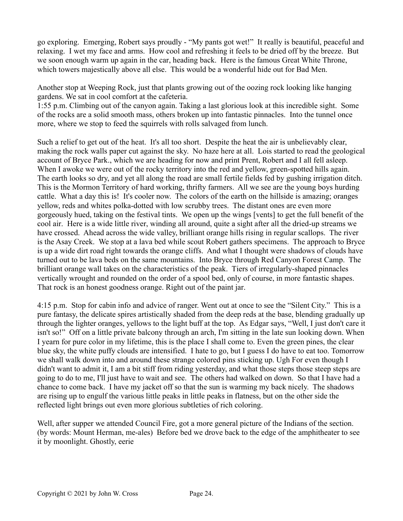go exploring. Emerging, Robert says proudly - "My pants got wet!" It really is beautiful, peaceful and relaxing. I wet my face and arms. How cool and refreshing it feels to be dried off by the breeze. But we soon enough warm up again in the car, heading back. Here is the famous Great White Throne, which towers majestically above all else. This would be a wonderful hide out for Bad Men.

Another stop at Weeping Rock, just that plants growing out of the oozing rock looking like hanging gardens. We sat in cool comfort at the cafeteria.

1:55 p.m. Climbing out of the canyon again. Taking a last glorious look at this incredible sight. Some of the rocks are a solid smooth mass, others broken up into fantastic pinnacles. Into the tunnel once more, where we stop to feed the squirrels with rolls salvaged from lunch.

Such a relief to get out of the heat. It's all too short. Despite the heat the air is unbelievably clear, making the rock walls paper cut against the sky. No haze here at all. Lois started to read the geological account of Bryce Park., which we are heading for now and print Prent, Robert and I all fell asleep. When I awoke we were out of the rocky territory into the red and yellow, green-spotted hills again. The earth looks so dry, and yet all along the road are small fertile fields fed by gushing irrigation ditch. This is the Mormon Territory of hard working, thrifty farmers. All we see are the young boys hurding cattle. What a day this is! It's cooler now. The colors of the earth on the hillside is amazing; oranges yellow, reds and whites polka-dotted with low scrubby trees. The distant ones are even more gorgeously hued, taking on the festival tints. We open up the wings [vents] to get the full benefit of the cool air. Here is a wide little river, winding all around, quite a sight after all the dried-up streams we have crossed. Ahead across the wide valley, brilliant orange hills rising in regular scallops. The river is the Asay Creek. We stop at a lava bed while scout Robert gathers specimens. The approach to Bryce is up a wide dirt road right towards the orange cliffs. And what I thought were shadows of clouds have turned out to be lava beds on the same mountains. Into Bryce through Red Canyon Forest Camp. The brilliant orange wall takes on the characteristics of the peak. Tiers of irregularly-shaped pinnacles vertically wrought and rounded on the order of a spool bed, only of course, in more fantastic shapes. That rock is an honest goodness orange. Right out of the paint jar.

4:15 p.m. Stop for cabin info and advice of ranger. Went out at once to see the "Silent City." This is a pure fantasy, the delicate spires artistically shaded from the deep reds at the base, blending gradually up through the lighter oranges, yellows to the light buff at the top. As Edgar says, "Well, I just don't care it isn't so!" Off on a little private balcony through an arch, I'm sitting in the late sun looking down. When I yearn for pure color in my lifetime, this is the place I shall come to. Even the green pines, the clear blue sky, the white puffy clouds are intensified. I hate to go, but I guess I do have to eat too. Tomorrow we shall walk down into and around these strange colored pins sticking up. Ugh For even though I didn't want to admit it, I am a bit stiff from riding yesterday, and what those steps those steep steps are going to do to me, I'll just have to wait and see. The others had walked on down. So that I have had a chance to come back. I have my jacket off so that the sun is warming my back nicely. The shadows are rising up to engulf the various little peaks in little peaks in flatness, but on the other side the reflected light brings out even more glorious subtleties of rich coloring.

Well, after supper we attended Council Fire, got a more general picture of the Indians of the section. (by words: Mount Herman, me-ales) Before bed we drove back to the edge of the amphitheater to see it by moonlight. Ghostly, eerie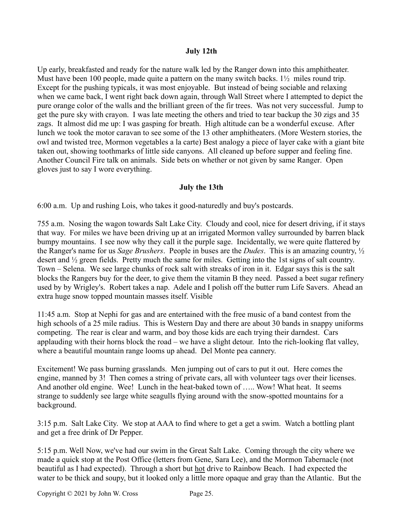## **July 12th**

Up early, breakfasted and ready for the nature walk led by the Ranger down into this amphitheater. Must have been 100 people, made quite a pattern on the many switch backs. 1<sup>1</sup>/<sub>2</sub> miles round trip. Except for the pushing typicals, it was most enjoyable. But instead of being sociable and relaxing when we came back, I went right back down again, through Wall Street where I attempted to depict the pure orange color of the walls and the brilliant green of the fir trees. Was not very successful. Jump to get the pure sky with crayon. I was late meeting the others and tried to tear backup the 30 zigs and 35 zags. It almost did me up: I was gasping for breath. High altitude can be a wonderful excuse. After lunch we took the motor caravan to see some of the 13 other amphitheaters. (More Western stories, the owl and twisted tree, Mormon vegetables a la carte) Best analogy a piece of layer cake with a giant bite taken out, showing toothmarks of little side canyons. All cleaned up before supper and feeling fine. Another Council Fire talk on animals. Side bets on whether or not given by same Ranger. Open gloves just to say I wore everything.

## **July the 13th**

6:00 a.m. Up and rushing Lois, who takes it good-naturedly and buy's postcards.

755 a.m. Nosing the wagon towards Salt Lake City. Cloudy and cool, nice for desert driving, if it stays that way. For miles we have been driving up at an irrigated Mormon valley surrounded by barren black bumpy mountains. I see now why they call it the purple sage. Incidentally, we were quite flattered by the Ranger's name for us *Sage Brushers*. People in buses are the *Dudes*. This is an amazing country, ½ desert and ½ green fields. Pretty much the same for miles. Getting into the 1st signs of salt country. Town – Selena. We see large chunks of rock salt with streaks of iron in it. Edgar says this is the salt blocks the Rangers buy for the deer, to give them the vitamin B they need. Passed a beet sugar refinery used by by Wrigley's. Robert takes a nap. Adele and I polish off the butter rum Life Savers. Ahead an extra huge snow topped mountain masses itself. Visible

11:45 a.m. Stop at Nephi for gas and are entertained with the free music of a band contest from the high schools of a 25 mile radius. This is Western Day and there are about 30 bands in snappy uniforms competing. The rear is clear and warm, and boy those kids are each trying their darndest. Cars applauding with their horns block the road – we have a slight detour. Into the rich-looking flat valley, where a beautiful mountain range looms up ahead. Del Monte pea cannery.

Excitement! We pass burning grasslands. Men jumping out of cars to put it out. Here comes the engine, manned by 3! Then comes a string of private cars, all with volunteer tags over their licenses. And another old engine. Wee! Lunch in the heat-baked town of ..... Wow! What heat. It seems strange to suddenly see large white seagulls flying around with the snow-spotted mountains for a background.

3:15 p.m. Salt Lake City. We stop at AAA to find where to get a get a swim. Watch a bottling plant and get a free drink of Dr Pepper.

5:15 p.m. Well Now, we've had our swim in the Great Salt Lake. Coming through the city where we made a quick stop at the Post Office (letters from Gene, Sara Lee), and the Mormon Tabernacle (not beautiful as I had expected). Through a short but hot drive to Rainbow Beach. I had expected the water to be thick and soupy, but it looked only a little more opaque and gray than the Atlantic. But the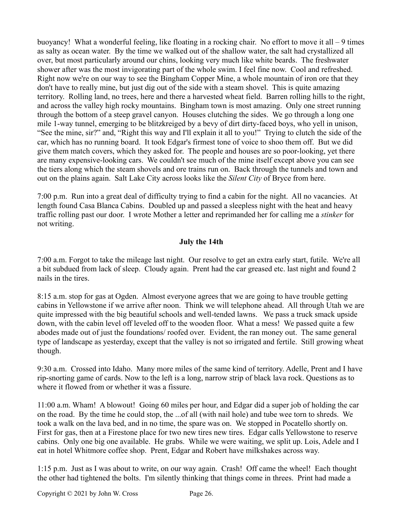buoyancy! What a wonderful feeling, like floating in a rocking chair. No effort to move it all – 9 times as salty as ocean water. By the time we walked out of the shallow water, the salt had crystallized all over, but most particularly around our chins, looking very much like white beards. The freshwater shower after was the most invigorating part of the whole swim. I feel fine now. Cool and refreshed. Right now we're on our way to see the Bingham Copper Mine, a whole mountain of iron ore that they don't have to really mine, but just dig out of the side with a steam shovel. This is quite amazing territory. Rolling land, no trees, here and there a harvested wheat field. Barren rolling hills to the right, and across the valley high rocky mountains. Bingham town is most amazing. Only one street running through the bottom of a steep gravel canyon. Houses clutching the sides. We go through a long one mile 1-way tunnel, emerging to be blitzkreiged by a bevy of dirt dirty-faced boys, who yell in unison, "See the mine, sir?" and, "Right this way and I'll explain it all to you!" Trying to clutch the side of the car, which has no running board. It took Edgar's firmest tone of voice to shoo them off. But we did give them match covers, which they asked for. The people and houses are so poor-looking, yet there are many expensive-looking cars. We couldn't see much of the mine itself except above you can see the tiers along which the steam shovels and ore trains run on. Back through the tunnels and town and out on the plains again. Salt Lake City across looks like the *Silent City* of Bryce from here.

7:00 p.m. Run into a great deal of difficulty trying to find a cabin for the night. All no vacancies. At length found Casa Blanca Cabins. Doubled up and passed a sleepless night with the heat and heavy traffic rolling past our door. I wrote Mother a letter and reprimanded her for calling me a *stinker* for not writing.

# **July the 14th**

7:00 a.m. Forgot to take the mileage last night. Our resolve to get an extra early start, futile. We're all a bit subdued from lack of sleep. Cloudy again. Prent had the car greased etc. last night and found 2 nails in the tires.

8:15 a.m. stop for gas at Ogden. Almost everyone agrees that we are going to have trouble getting cabins in Yellowstone if we arrive after noon. Think we will telephone ahead. All through Utah we are quite impressed with the big beautiful schools and well-tended lawns. We pass a truck smack upside down, with the cabin level off leveled off to the wooden floor. What a mess! We passed quite a few abodes made out of just the foundations/ roofed over. Evident, the ran money out. The same general type of landscape as yesterday, except that the valley is not so irrigated and fertile. Still growing wheat though.

9:30 a.m. Crossed into Idaho. Many more miles of the same kind of territory. Adelle, Prent and I have rip-snorting game of cards. Now to the left is a long, narrow strip of black lava rock. Questions as to where it flowed from or whether it was a fissure.

11:00 a.m. Wham! A blowout! Going 60 miles per hour, and Edgar did a super job of holding the car on the road. By the time he could stop, the ...of all (with nail hole) and tube wee torn to shreds. We took a walk on the lava bed, and in no time, the spare was on. We stopped in Pocatello shortly on. First for gas, then at a Firestone place for two new tires new tires. Edgar calls Yellowstone to reserve cabins. Only one big one available. He grabs. While we were waiting, we split up. Lois, Adele and I eat in hotel Whitmore coffee shop. Prent, Edgar and Robert have milkshakes across way.

1:15 p.m. Just as I was about to write, on our way again. Crash! Off came the wheel! Each thought the other had tightened the bolts. I'm silently thinking that things come in threes. Print had made a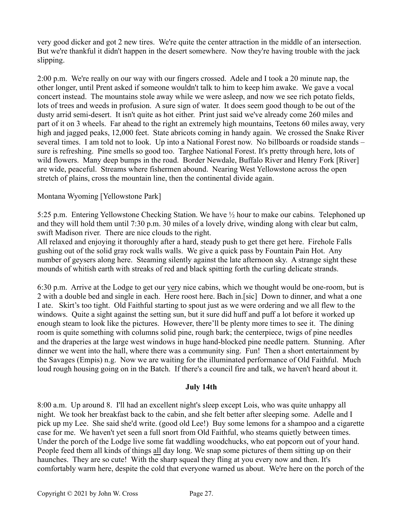very good dicker and got 2 new tires. We're quite the center attraction in the middle of an intersection. But we're thankful it didn't happen in the desert somewhere. Now they're having trouble with the jack slipping.

2:00 p.m. We're really on our way with our fingers crossed. Adele and I took a 20 minute nap, the other longer, until Prent asked if someone wouldn't talk to him to keep him awake. We gave a vocal concert instead. The mountains stole away while we were asleep, and now we see rich potato fields, lots of trees and weeds in profusion. A sure sign of water. It does seem good though to be out of the dusty arrid semi-desert. It isn't quite as hot either. Print just said we've already come 260 miles and part of it on 3 wheels. Far ahead to the right an extremely high mountains, Teetons 60 miles away, very high and jagged peaks, 12,000 feet. State abricots coming in handy again. We crossed the Snake River several times. I am told not to look. Up into a National Forest now. No billboards or roadside stands – sure is refreshing. Pine smells so good too. Targhee National Forest. It's pretty through here, lots of wild flowers. Many deep bumps in the road. Border Newdale, Buffalo River and Henry Fork [River] are wide, peaceful. Streams where fishermen abound. Nearing West Yellowstone across the open stretch of plains, cross the mountain line, then the continental divide again.

## Montana Wyoming [Yellowstone Park]

5:25 p.m. Entering Yellowstone Checking Station. We have ½ hour to make our cabins. Telephoned up and they will hold them until 7:30 p.m. 30 miles of a lovely drive, winding along with clear but calm, swift Madison river. There are nice clouds to the right.

All relaxed and enjoying it thoroughly after a hard, steady push to get there get here. Firehole Falls gushing out of the solid gray rock walls walls. We give a quick pass by Fountain Pain Hot. Any number of geysers along here. Steaming silently against the late afternoon sky. A strange sight these mounds of whitish earth with streaks of red and black spitting forth the curling delicate strands.

6:30 p.m. Arrive at the Lodge to get our very nice cabins, which we thought would be one-room, but is 2 with a double bed and single in each. Here roost here. Bach in.[sic] Down to dinner, and what a one I ate. Skirt's too tight. Old Faithful starting to spout just as we were ordering and we all flew to the windows. Quite a sight against the setting sun, but it sure did huff and puff a lot before it worked up enough steam to look like the pictures. However, there'll be plenty more times to see it. The dining room is quite something with columns solid pine, rough bark; the centerpiece, twigs of pine needles and the draperies at the large west windows in huge hand-blocked pine needle pattern. Stunning. After dinner we went into the hall, where there was a community sing. Fun! Then a short entertainment by the Savages (Empis) n.g. Now we are waiting for the illuminated performance of Old Faithful. Much loud rough housing going on in the Batch. If there's a council fire and talk, we haven't heard about it.

### **July 14th**

8:00 a.m. Up around 8. I'll had an excellent night's sleep except Lois, who was quite unhappy all night. We took her breakfast back to the cabin, and she felt better after sleeping some. Adelle and I pick up my Lee. She said she'd write. (good old Lee!) Buy some lemons for a shampoo and a cigarette case for me. We haven't yet seen a full snort from Old Faithful, who steams quietly between times. Under the porch of the Lodge live some fat waddling woodchucks, who eat popcorn out of your hand. People feed them all kinds of things all day long. We snap some pictures of them sitting up on their haunches. They are so cute! With the sharp squeal they fling at you every now and then. It's comfortably warm here, despite the cold that everyone warned us about. We're here on the porch of the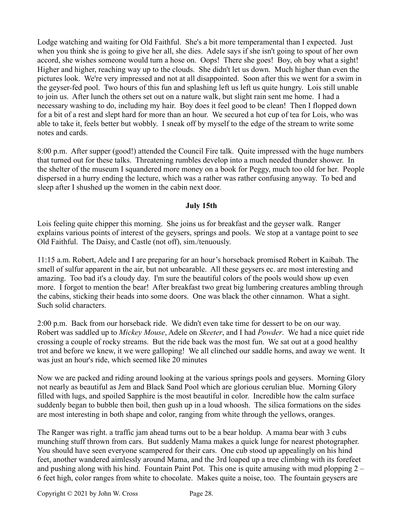Lodge watching and waiting for Old Faithful. She's a bit more temperamental than I expected. Just when you think she is going to give her all, she dies. Adele says if she isn't going to spout of her own accord, she wishes someone would turn a hose on. Oops! There she goes! Boy, oh boy what a sight! Higher and higher, reaching way up to the clouds. She didn't let us down. Much higher than even the pictures look. We're very impressed and not at all disappointed. Soon after this we went for a swim in the geyser-fed pool. Two hours of this fun and splashing left us left us quite hungry. Lois still unable to join us. After lunch the others set out on a nature walk, but slight rain sent me home. I had a necessary washing to do, including my hair. Boy does it feel good to be clean! Then I flopped down for a bit of a rest and slept hard for more than an hour. We secured a hot cup of tea for Lois, who was able to take it, feels better but wobbly. I sneak off by myself to the edge of the stream to write some notes and cards.

8:00 p.m. After supper (good!) attended the Council Fire talk. Quite impressed with the huge numbers that turned out for these talks. Threatening rumbles develop into a much needed thunder shower. In the shelter of the museum I squandered more money on a book for Peggy, much too old for her. People dispersed in a hurry ending the lecture, which was a rather was rather confusing anyway. To bed and sleep after I shushed up the women in the cabin next door.

### **July 15th**

Lois feeling quite chipper this morning. She joins us for breakfast and the geyser walk. Ranger explains various points of interest of the geysers, springs and pools. We stop at a vantage point to see Old Faithful. The Daisy, and Castle (not off), sim./tenuously.

11:15 a.m. Robert, Adele and I are preparing for an hour's horseback promised Robert in Kaibab. The smell of sulfur apparent in the air, but not unbearable. All these geysers ec. are most interesting and amazing. Too bad it's a cloudy day. I'm sure the beautiful colors of the pools would show up even more. I forgot to mention the bear! After breakfast two great big lumbering creatures ambling through the cabins, sticking their heads into some doors. One was black the other cinnamon. What a sight. Such solid characters.

2:00 p.m. Back from our horseback ride. We didn't even take time for dessert to be on our way. Robert was saddled up to *Mickey Mouse*, Adele on *Skeeter*, and I had *Powder*. We had a nice quiet ride crossing a couple of rocky streams. But the ride back was the most fun. We sat out at a good healthy trot and before we knew, it we were galloping! We all clinched our saddle horns, and away we went. It was just an hour's ride, which seemed like 20 minutes

Now we are packed and riding around looking at the various springs pools and geysers. Morning Glory not nearly as beautiful as Jem and Black Sand Pool which are glorious cerulian blue. Morning Glory filled with lugs, and spoiled Sapphire is the most beautiful in color. Incredible how the calm surface suddenly began to bubble then boil, then gush up in a loud whoosh. The silica formations on the sides are most interesting in both shape and color, ranging from white through the yellows, oranges.

The Ranger was right. a traffic jam ahead turns out to be a bear holdup. A mama bear with 3 cubs munching stuff thrown from cars. But suddenly Mama makes a quick lunge for nearest photographer. You should have seen everyone scampered for their cars. One cub stood up appealingly on his hind feet, another wandered aimlessly around Mama, and the 3rd loaped up a tree climbing with its forefeet and pushing along with his hind. Fountain Paint Pot. This one is quite amusing with mud plopping  $2 -$ 6 feet high, color ranges from white to chocolate. Makes quite a noise, too. The fountain geysers are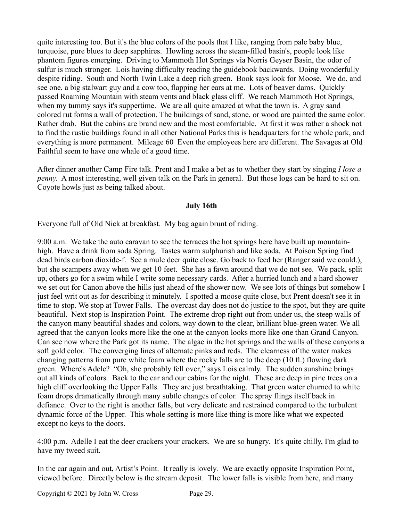quite interesting too. But it's the blue colors of the pools that I like, ranging from pale baby blue, turquoise, pure blues to deep sapphires. Howling across the steam-filled basin's, people look like phantom figures emerging. Driving to Mammoth Hot Springs via Norris Geyser Basin, the odor of sulfur is much stronger. Lois having difficulty reading the guidebook backwards. Doing wonderfully despite riding. South and North Twin Lake a deep rich green. Book says look for Moose. We do, and see one, a big stalwart guy and a cow too, flapping her ears at me. Lots of beaver dams. Quickly passed Roaming Mountain with steam vents and black glass cliff. We reach Mammoth Hot Springs, when my tummy says it's suppertime. We are all quite amazed at what the town is. A gray sand colored rut forms a wall of protection. The buildings of sand, stone, or wood are painted the same color. Rather drab. But the cabins are brand new and the most comfortable. At first it was rather a shock not to find the rustic buildings found in all other National Parks this is headquarters for the whole park, and everything is more permanent. Mileage 60 Even the employees here are different. The Savages at Old Faithful seem to have one whale of a good time.

After dinner another Camp Fire talk. Prent and I make a bet as to whether they start by singing *I lose a penny.* A most interesting, well given talk on the Park in general. But those logs can be hard to sit on. Coyote howls just as being talked about.

### **July 16th**

Everyone full of Old Nick at breakfast. My bag again brunt of riding.

9:00 a.m. We take the auto caravan to see the terraces the hot springs here have built up mountainhigh. Have a drink from soda Spring. Tastes warm sulphurish and like soda. At Poison Spring find dead birds carbon dioxide-f. See a mule deer quite close. Go back to feed her (Ranger said we could.), but she scampers away when we get 10 feet. She has a fawn around that we do not see. We pack, split up, others go for a swim while I write some necessary cards. After a hurried lunch and a hard shower we set out for Canon above the hills just ahead of the shower now. We see lots of things but somehow I just feel writ out as for describing it minutely. I spotted a moose quite close, but Prent doesn't see it in time to stop. We stop at Tower Falls. The overcast day does not do justice to the spot, but they are quite beautiful. Next stop is Inspiration Point. The extreme drop right out from under us, the steep walls of the canyon many beautiful shades and colors, way down to the clear, brilliant blue-green water. We all agreed that the canyon looks more like the one at the canyon looks more like one than Grand Canyon. Can see now where the Park got its name. The algae in the hot springs and the walls of these canyons a soft gold color. The converging lines of alternate pinks and reds. The clearness of the water makes changing patterns from pure white foam where the rocky falls are to the deep (10 ft.) flowing dark green. Where's Adele? "Oh, she probably fell over," says Lois calmly. The sudden sunshine brings out all kinds of colors. Back to the car and our cabins for the night. These are deep in pine trees on a high cliff overlooking the Upper Falls. They are just breathtaking. That green water churned to white foam drops dramatically through many subtle changes of color. The spray flings itself back in defiance. Over to the right is another falls, but very delicate and restrained compared to the turbulent dynamic force of the Upper. This whole setting is more like thing is more like what we expected except no keys to the doors.

4:00 p.m. Adelle I eat the deer crackers your crackers. We are so hungry. It's quite chilly, I'm glad to have my tweed suit.

In the car again and out, Artist's Point. It really is lovely. We are exactly opposite Inspiration Point, viewed before. Directly below is the stream deposit. The lower falls is visible from here, and many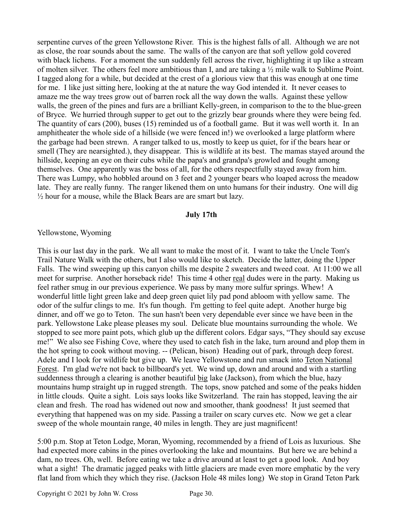serpentine curves of the green Yellowstone River. This is the highest falls of all. Although we are not as close, the roar sounds about the same. The walls of the canyon are that soft yellow gold covered with black lichens. For a moment the sun suddenly fell across the river, highlighting it up like a stream of molten silver. The others feel more ambitious than I, and are taking a ½ mile walk to Sublime Point. I tagged along for a while, but decided at the crest of a glorious view that this was enough at one time for me. I like just sitting here, looking at the at nature the way God intended it. It never ceases to amaze me the way trees grow out of barren rock all the way down the walls. Against these yellow walls, the green of the pines and furs are a brilliant Kelly-green, in comparison to the to the blue-green of Bryce. We hurried through supper to get out to the grizzly bear grounds where they were being fed. The quantity of cars (200), buses (15) reminded us of a football game. But it was well worth it. In an amphitheater the whole side of a hillside (we were fenced in!) we overlooked a large platform where the garbage had been strewn. A ranger talked to us, mostly to keep us quiet, for if the bears hear or smell (They are nearsighted.), they disappear. This is wildlife at its best. The mamas stayed around the hillside, keeping an eye on their cubs while the papa's and grandpa's growled and fought among themselves. One apparently was the boss of all, for the others respectfully stayed away from him. There was Lumpy, who hobbled around on 3 feet and 2 younger bears who loaped across the meadow late. They are really funny. The ranger likened them on unto humans for their industry. One will dig  $\frac{1}{2}$  hour for a mouse, while the Black Bears are are smart but lazy.

#### **July 17th**

### Yellowstone, Wyoming

This is our last day in the park. We all want to make the most of it. I want to take the Uncle Tom's Trail Nature Walk with the others, but I also would like to sketch. Decide the latter, doing the Upper Falls. The wind sweeping up this canyon chills me despite 2 sweaters and tweed coat. At 11:00 we all meet for surprise. Another horseback ride! This time 4 other real dudes were in the party. Making us feel rather smug in our previous experience. We pass by many more sulfur springs. Whew! A wonderful little light green lake and deep green quiet lily pad pond abloom with yellow same. The odor of the sulfur clings to me. It's fun though. I'm getting to feel quite adept. Another hurge big dinner, and off we go to Teton. The sun hasn't been very dependable ever since we have been in the park. Yellowstone Lake please pleases my soul. Delicate blue mountains surrounding the whole. We stopped to see more paint pots, which glub up the different colors. Edgar says, "They should say excuse me!" We also see Fishing Cove, where they used to catch fish in the lake, turn around and plop them in the hot spring to cook without moving. -- (Pelican, bison) Heading out of park, through deep forest. Adele and I look for wildlife but give up. We leave Yellowstone and run smack into Teton National Forest. I'm glad we're not back to billboard's yet. We wind up, down and around and with a startling suddenness through a clearing is another beautiful big lake (Jackson), from which the blue, hazy mountains hump straight up in rugged strength. The tops, snow patched and some of the peaks hidden in little clouds. Quite a sight. Lois says looks like Switzerland. The rain has stopped, leaving the air clean and fresh. The road has widened out now and smoother, thank goodness! It just seemed that everything that happened was on my side. Passing a trailer on scary curves etc. Now we get a clear sweep of the whole mountain range, 40 miles in length. They are just magnificent!

5:00 p.m. Stop at Teton Lodge, Moran, Wyoming, recommended by a friend of Lois as luxurious. She had expected more cabins in the pines overlooking the lake and mountains. But here we are behind a dam, no trees. Oh, well. Before eating we take a drive around at least to get a good look. And boy what a sight! The dramatic jagged peaks with little glaciers are made even more emphatic by the very flat land from which they which they rise. (Jackson Hole 48 miles long) We stop in Grand Teton Park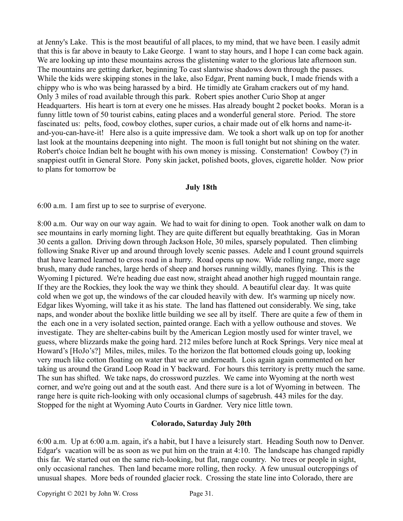at Jenny's Lake. This is the most beautiful of all places, to my mind, that we have been. I easily admit that this is far above in beauty to Lake George. I want to stay hours, and I hope I can come back again. We are looking up into these mountains across the glistening water to the glorious late afternoon sun. The mountains are getting darker, beginning To cast slantwise shadows down through the passes. While the kids were skipping stones in the lake, also Edgar, Prent naming buck, I made friends with a chippy who is who was being harassed by a bird. He timidly ate Graham crackers out of my hand. Only 3 miles of road available through this park. Robert spies another Curio Shop at anger Headquarters. His heart is torn at every one he misses. Has already bought 2 pocket books. Moran is a funny little town of 50 tourist cabins, eating places and a wonderful general store. Period. The store fascinated us: pelts, food, cowboy clothes, super curios, a chair made out of elk horns and name-itand-you-can-have-it! Here also is a quite impressive dam. We took a short walk up on top for another last look at the mountains deepening into night. The moon is full tonight but not shining on the water. Robert's choice Indian belt he bought with his own money is missing. Consternation! Cowboy (?) in snappiest outfit in General Store. Pony skin jacket, polished boots, gloves, cigarette holder. Now prior to plans for tomorrow be

### **July 18th**

6:00 a.m. I am first up to see to surprise of everyone.

8:00 a.m. Our way on our way again. We had to wait for dining to open. Took another walk on dam to see mountains in early morning light. They are quite different but equally breathtaking. Gas in Moran 30 cents a gallon. Driving down through Jackson Hole, 30 miles, sparsely populated. Then climbing following Snake River up and around through lovely scenic passes. Adele and I count ground squirrels that have learned learned to cross road in a hurry. Road opens up now. Wide rolling range, more sage brush, many dude ranches, large herds of sheep and horses running wildly, manes flying. This is the Wyoming I pictured. We're heading due east now, straight ahead another high rugged mountain range. If they are the Rockies, they look the way we think they should. A beautiful clear day. It was quite cold when we got up, the windows of the car clouded heavily with dew. It's warming up nicely now. Edgar likes Wyoming, will take it as his state. The land has flattened out considerably. We sing, take naps, and wonder about the boxlike little building we see all by itself. There are quite a few of them in the each one in a very isolated section, painted orange. Each with a yellow outhouse and stoves. We investigate. They are shelter-cabins built by the American Legion mostly used for winter travel, we guess, where blizzards make the going hard. 212 miles before lunch at Rock Springs. Very nice meal at Howard's [HoJo's?] Miles, miles, miles. To the horizon the flat bottomed clouds going up, looking very much like cotton floating on water that we are underneath. Lois again again commented on her taking us around the Grand Loop Road in Y backward. For hours this territory is pretty much the same. The sun has shifted. We take naps, do crossword puzzles. We came into Wyoming at the north west corner, and we're going out and at the south east. And there sure is a lot of Wyoming in between. The range here is quite rich-looking with only occasional clumps of sagebrush. 443 miles for the day. Stopped for the night at Wyoming Auto Courts in Gardner. Very nice little town.

### **Colorado, Saturday July 20th**

6:00 a.m. Up at 6:00 a.m. again, it's a habit, but I have a leisurely start. Heading South now to Denver. Edgar's vacation will be as soon as we put him on the train at 4:10. The landscape has changed rapidly this far. We started out on the same rich-looking, but flat, range country. No trees or people in sight, only occasional ranches. Then land became more rolling, then rocky. A few unusual outcroppings of unusual shapes. More beds of rounded glacier rock. Crossing the state line into Colorado, there are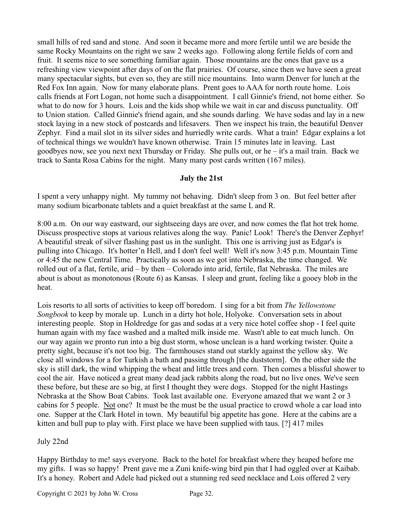small hills of red sand and stone. And soon it became more and more fertile until we are beside the same Rocky Mountains on the right we saw 2 weeks ago. Following along fertile fields of corn and fruit. It seems nice to see something familiar again. Those mountains are the ones that gave us a refreshing view viewpoint after days of on the flat prairies. Of course, since then we have seen a great many spectacular sights, but even so, they are still nice mountains. Into warm Denver for lunch at the Red Fox Inn again. Now for many elaborate plans. Prent goes to AAA for north route home. Lois calls friends at Fort Logan, not home such a disappointment. I call Ginnie's friend, not home either. So what to do now for 3 hours. Lois and the kids shop while we wait in car and discuss punctuality. Off to Union station. Called Ginnie's friend again, and she sounds darling. We have sodas and lay in a new stock laying in a new stock of postcards and lifesavers. Then we inspect his train, the beautiful Denver Zephyr. Find a mail slot in its silver sides and hurriedly write cards. What a train! Edgar explains a lot of technical things we wouldn't have known otherwise. Train 15 minutes late in leaving. Last goodbyes now, see you next next Thursday or Friday. She pulls out, or he – it's a mail train. Back we track to Santa Rosa Cabins for the night. Many many post cards written (167 miles).

## **July the 21st**

I spent a very unhappy night. My tummy not behaving. Didn't sleep from 3 on. But feel better after many sodium bicarbonate tablets and a quiet breakfast at the same L and R.

8:00 a.m. On our way eastward, our sightseeing days are over, and now comes the flat hot trek home. Discuss prospective stops at various relatives along the way. Panic! Look! There's the Denver Zephyr! A beautiful streak of silver flashing past us in the sunlight. This one is arriving just as Edgar's is pulling into Chicago. It's hotter'n Hell, and I don't feel well! Well it's now 3:45 p.m. Mountain Time or 4:45 the new Central Time. Practically as soon as we got into Nebraska, the time changed. We rolled out of a flat, fertile, arid – by then – Colorado into arid, fertile, flat Nebraska. The miles are about is about as monotonous (Route 6) as Kansas. I sleep and grunt, feeling like a gooey blob in the heat.

Lois resorts to all sorts of activities to keep off boredom. I sing for a bit from *The Yellowstone Songbook* to keep by morale up. Lunch in a dirty hot hole, Holyoke. Conversation sets in about interesting people. Stop in Holdredge for gas and sodas at a very nice hotel coffee shop - I feel quite human again with my face washed and a malted milk inside me. Wasn't able to eat much lunch. On our way again we pronto run into a big dust storm, whose unclean is a hard working twister. Quite a pretty sight, because it's not too big. The farmhouses stand out starkly against the yellow sky. We close all windows for a for Turkish a bath and passing through [the duststorm]. On the other side the sky is still dark, the wind whipping the wheat and little trees and corn. Then comes a blissful shower to cool the air. Have noticed a great many dead jack rabbits along the road, but no live ones. We've seen these before, but these are so big, at first I thought they were dogs. Stopped for the night Hastings Nebraska at the Show Boat Cabins. Took last available one. Everyone amazed that we want 2 or 3 cabins for 5 people. Not one? It must be the must be the usual practice to crowd whole a car load into one. Supper at the Clark Hotel in town. My beautiful big appetite has gone. Here at the cabins are a kitten and bull pup to play with. First place we have been supplied with taus. [?] 417 miles

### July 22nd

Happy Birthday to me! says everyone. Back to the hotel for breakfast where they heaped before me my gifts. I was so happy! Prent gave me a Zuni knife-wing bird pin that I had oggled over at Kaibab. It's a honey. Robert and Adele had picked out a stunning red seed necklace and Lois offered 2 very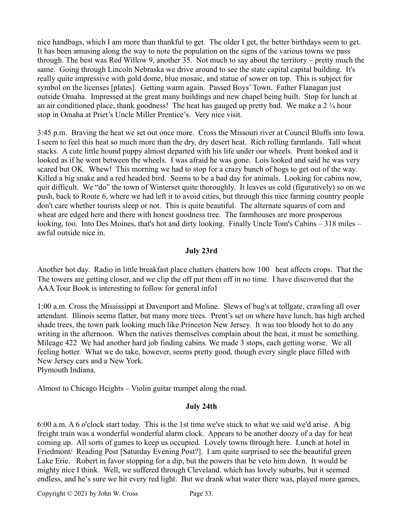nice handbags, which I am more than thankful to get. The older I get, the better birthdays seem to get. It has been amusing along the way to note the population on the signs of the various towns we pass through. The best was Red Willow 9, another 35. Not much to say about the territory – pretty much the same. Going through Lincoln Nebraska we drive around to see the state capital capital building. It's really quite impressive with gold dome, blue mosaic, and statue of sower on top. This is subject for symbol on the licenses [plates]. Getting warm again. Passed Boys' Town. Father Flanagan just outside Omaha. Impressed at the great many buildings and new chapel being built. Stop for lunch at an air conditioned place, thank goodness! The heat has gauged up pretty bad. We make a  $2\frac{3}{4}$  hour stop in Omaha at Priet's Uncle Miller Prentice's. Very nice visit.

3:45 p.m. Braving the heat we set out once more. Cross the Missouri river at Council Bluffs into Iowa. I seem to feel this heat so much more than the dry, dry desert heat. Rich rolling farmlands. Tall wheat stacks. A cute little hound puppy almost departed with his life under our wheels. Prent honked and it looked as if he went between the wheels. I was afraid he was gone. Lois looked and said he was very scared but OK. Whew! This morning we had to stop for a crazy bunch of hogs to get out of the way. Killed a big snake and a red headed bird. Seems to be a bad day for animals. Looking for cabins now, quit difficult. We "do" the town of Winterset quite thoroughly. It leaves us cold (figuratively) so on we push, back to Route 6, where we had left it to avoid cities, but through this nice farming country people don't care whether tourists sleep or not. This is quite beautiful. The alternate squares of corn and wheat are edged here and there with honest goodness tree. The farmhouses are more prosperous looking, too. Into Des Moines, that's hot and dirty looking. Finally Uncle Tom's Cabins – 318 miles – awful outside nice in.

## **July 23rd**

Another hot day. Radio in little breakfast place chatters chatters how 100゚ heat affects crops. That the The towers are getting closer, and we clip the off put them off in no time. I have discovered that the AAA Tour Book is interesting to follow for general info1

1:00 a.m. Cross the Mississippi at Davenport and Moline. Slews of bug's at tollgate, crawling all over attendant. Illinois seems flatter, but many more trees. Prent's set on where have lunch, has high arched shade trees, the town park looking much like Princeton New Jersey. It was too bloody hot to do any writing in the afternoon. When the natives themselves complain about the heat, it must be something. Mileage 422 We had another hard job finding cabins. We made 3 stops, each getting worse. We all feeling hotter. What we do take, however, seems pretty good, though every single place filled with New Jersey cars and a New York.

Plymouth Indiana.

Almost to Chicago Heights – Violin guitar trumpet along the road.

### **July 24th**

6:00 a.m. A 6 o'clock start today. This is the 1st time we've stuck to what we said we'd arise. A big freight train was a wonderful wonderful alarm clock. Appears to be another doozy of a day for heat coming up. All sorts of games to keep us occupied. Lovely towns through here. Lunch at hotel in Friedmont/ Reading Post [Saturday Evening Post?]. I am quite surprised to see the beautiful green Lake Erie. Robert in favor stopping for a dip, but the powers that be veto him down. It would be mighty nice I think. Well, we suffered through Cleveland. which has lovely suburbs, but it seemed endless, and he's sure we hit every red light. But we drank what water there was, played more games,